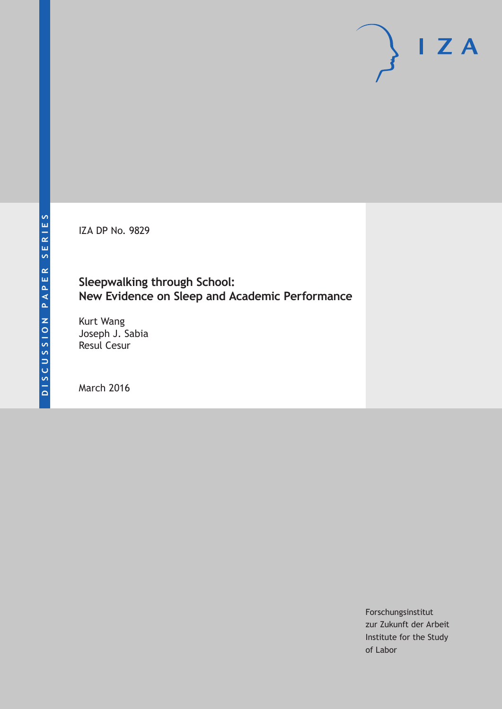IZA DP No. 9829

### **Sleepwalking through School: New Evidence on Sleep and Academic Performance**

Kurt Wang Joseph J. Sabia Resul Cesur

March 2016

Forschungsinstitut zur Zukunft der Arbeit Institute for the Study of Labor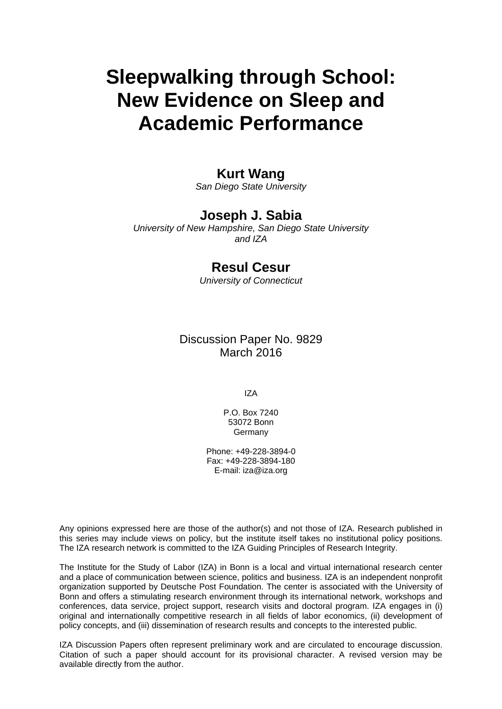# **Sleepwalking through School: New Evidence on Sleep and Academic Performance**

### **Kurt Wang**

*San Diego State University* 

### **Joseph J. Sabia**

*University of New Hampshire, San Diego State University and IZA* 

### **Resul Cesur**

*University of Connecticut*

Discussion Paper No. 9829 March 2016

IZA

P.O. Box 7240 53072 Bonn Germany

Phone: +49-228-3894-0 Fax: +49-228-3894-180 E-mail: iza@iza.org

Any opinions expressed here are those of the author(s) and not those of IZA. Research published in this series may include views on policy, but the institute itself takes no institutional policy positions. The IZA research network is committed to the IZA Guiding Principles of Research Integrity.

The Institute for the Study of Labor (IZA) in Bonn is a local and virtual international research center and a place of communication between science, politics and business. IZA is an independent nonprofit organization supported by Deutsche Post Foundation. The center is associated with the University of Bonn and offers a stimulating research environment through its international network, workshops and conferences, data service, project support, research visits and doctoral program. IZA engages in (i) original and internationally competitive research in all fields of labor economics, (ii) development of policy concepts, and (iii) dissemination of research results and concepts to the interested public.

IZA Discussion Papers often represent preliminary work and are circulated to encourage discussion. Citation of such a paper should account for its provisional character. A revised version may be available directly from the author.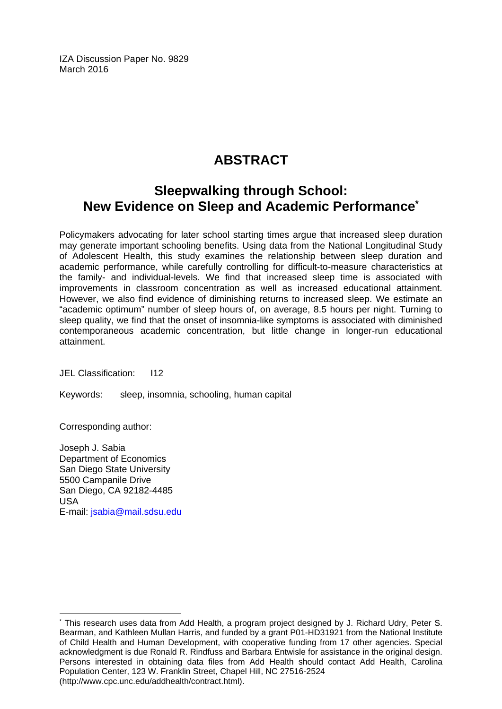IZA Discussion Paper No. 9829 March 2016

## **ABSTRACT**

### **Sleepwalking through School: New Evidence on Sleep and Academic Performance\***

Policymakers advocating for later school starting times argue that increased sleep duration may generate important schooling benefits. Using data from the National Longitudinal Study of Adolescent Health, this study examines the relationship between sleep duration and academic performance, while carefully controlling for difficult-to-measure characteristics at the family- and individual-levels. We find that increased sleep time is associated with improvements in classroom concentration as well as increased educational attainment. However, we also find evidence of diminishing returns to increased sleep. We estimate an "academic optimum" number of sleep hours of, on average, 8.5 hours per night. Turning to sleep quality, we find that the onset of insomnia-like symptoms is associated with diminished contemporaneous academic concentration, but little change in longer-run educational attainment.

JEL Classification: I12

Keywords: sleep, insomnia, schooling, human capital

Corresponding author:

 $\overline{a}$ 

Joseph J. Sabia Department of Economics San Diego State University 5500 Campanile Drive San Diego, CA 92182-4485 USA E-mail: jsabia@mail.sdsu.edu

<sup>\*</sup> This research uses data from Add Health, a program project designed by J. Richard Udry, Peter S. Bearman, and Kathleen Mullan Harris, and funded by a grant P01-HD31921 from the National Institute of Child Health and Human Development, with cooperative funding from 17 other agencies. Special acknowledgment is due Ronald R. Rindfuss and Barbara Entwisle for assistance in the original design. Persons interested in obtaining data files from Add Health should contact Add Health, Carolina Population Center, 123 W. Franklin Street, Chapel Hill, NC 27516-2524 (http://www.cpc.unc.edu/addhealth/contract.html).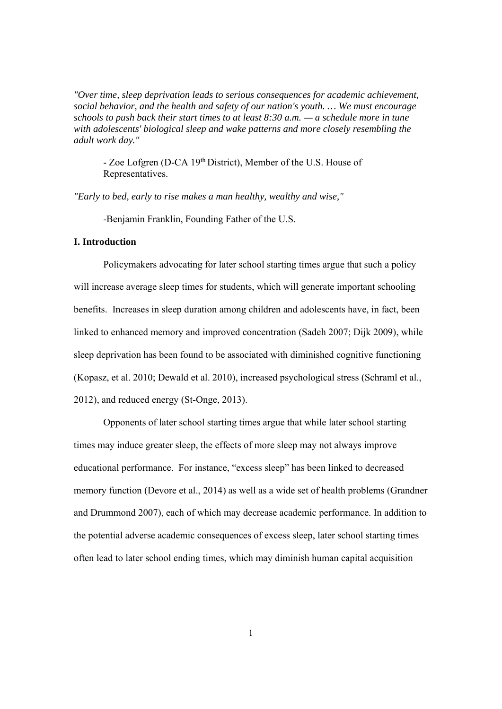*"Over time, sleep deprivation leads to serious consequences for academic achievement, social behavior, and the health and safety of our nation's youth. … We must encourage schools to push back their start times to at least 8:30 a.m. — a schedule more in tune with adolescents' biological sleep and wake patterns and more closely resembling the adult work day."* 

- Zoe Lofgren (D-CA 19th District), Member of the U.S. House of Representatives.

*"Early to bed, early to rise makes a man healthy, wealthy and wise,"* 

-Benjamin Franklin, Founding Father of the U.S.

#### **I. Introduction**

Policymakers advocating for later school starting times argue that such a policy will increase average sleep times for students, which will generate important schooling benefits. Increases in sleep duration among children and adolescents have, in fact, been linked to enhanced memory and improved concentration (Sadeh 2007; Dijk 2009), while sleep deprivation has been found to be associated with diminished cognitive functioning (Kopasz, et al. 2010; Dewald et al. 2010), increased psychological stress (Schraml et al., 2012), and reduced energy (St-Onge, 2013).

Opponents of later school starting times argue that while later school starting times may induce greater sleep, the effects of more sleep may not always improve educational performance. For instance, "excess sleep" has been linked to decreased memory function (Devore et al., 2014) as well as a wide set of health problems (Grandner and Drummond 2007), each of which may decrease academic performance. In addition to the potential adverse academic consequences of excess sleep, later school starting times often lead to later school ending times, which may diminish human capital acquisition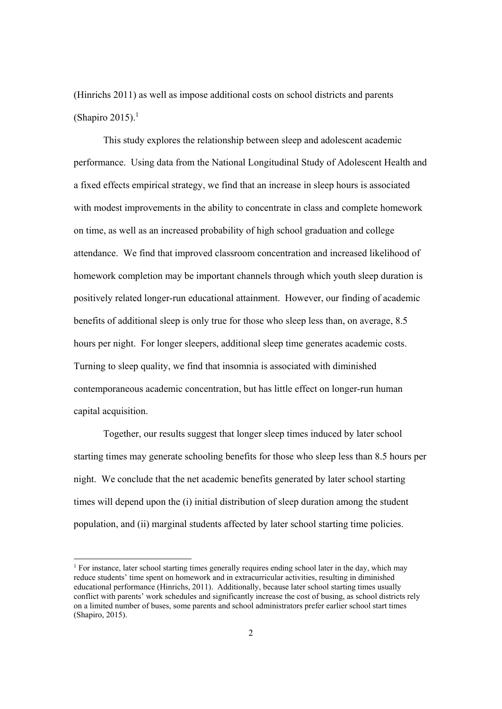(Hinrichs 2011) as well as impose additional costs on school districts and parents (Shapiro 2015). $<sup>1</sup>$ </sup>

This study explores the relationship between sleep and adolescent academic performance. Using data from the National Longitudinal Study of Adolescent Health and a fixed effects empirical strategy, we find that an increase in sleep hours is associated with modest improvements in the ability to concentrate in class and complete homework on time, as well as an increased probability of high school graduation and college attendance. We find that improved classroom concentration and increased likelihood of homework completion may be important channels through which youth sleep duration is positively related longer-run educational attainment. However, our finding of academic benefits of additional sleep is only true for those who sleep less than, on average, 8.5 hours per night. For longer sleepers, additional sleep time generates academic costs. Turning to sleep quality, we find that insomnia is associated with diminished contemporaneous academic concentration, but has little effect on longer-run human capital acquisition.

Together, our results suggest that longer sleep times induced by later school starting times may generate schooling benefits for those who sleep less than 8.5 hours per night. We conclude that the net academic benefits generated by later school starting times will depend upon the (i) initial distribution of sleep duration among the student population, and (ii) marginal students affected by later school starting time policies.

<sup>&</sup>lt;sup>1</sup> For instance, later school starting times generally requires ending school later in the day, which may reduce students' time spent on homework and in extracurricular activities, resulting in diminished educational performance (Hinrichs, 2011). Additionally, because later school starting times usually conflict with parents' work schedules and significantly increase the cost of busing, as school districts rely on a limited number of buses, some parents and school administrators prefer earlier school start times (Shapiro, 2015).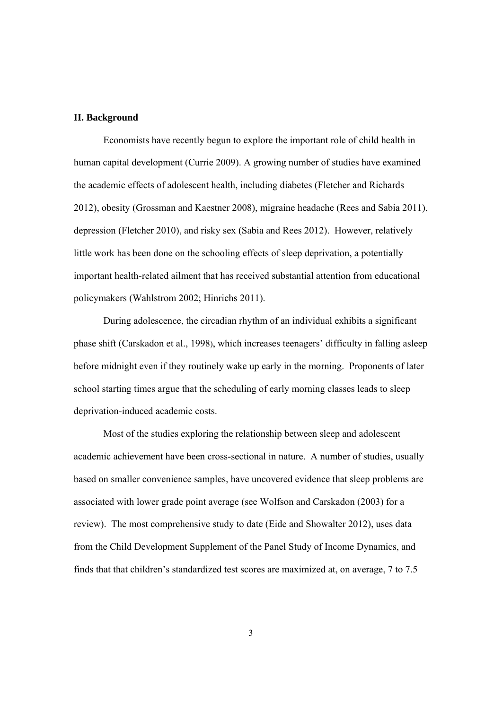#### **II. Background**

Economists have recently begun to explore the important role of child health in human capital development (Currie 2009). A growing number of studies have examined the academic effects of adolescent health, including diabetes (Fletcher and Richards 2012), obesity (Grossman and Kaestner 2008), migraine headache (Rees and Sabia 2011), depression (Fletcher 2010), and risky sex (Sabia and Rees 2012). However, relatively little work has been done on the schooling effects of sleep deprivation, a potentially important health-related ailment that has received substantial attention from educational policymakers (Wahlstrom 2002; Hinrichs 2011).

During adolescence, the circadian rhythm of an individual exhibits a significant phase shift (Carskadon et al., 1998), which increases teenagers' difficulty in falling asleep before midnight even if they routinely wake up early in the morning. Proponents of later school starting times argue that the scheduling of early morning classes leads to sleep deprivation-induced academic costs.

 Most of the studies exploring the relationship between sleep and adolescent academic achievement have been cross-sectional in nature. A number of studies, usually based on smaller convenience samples, have uncovered evidence that sleep problems are associated with lower grade point average (see Wolfson and Carskadon (2003) for a review). The most comprehensive study to date (Eide and Showalter 2012), uses data from the Child Development Supplement of the Panel Study of Income Dynamics, and finds that that children's standardized test scores are maximized at, on average, 7 to 7.5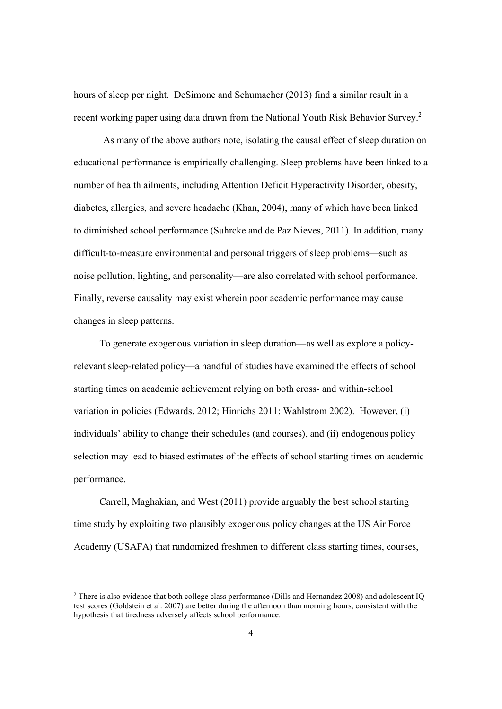hours of sleep per night. DeSimone and Schumacher (2013) find a similar result in a recent working paper using data drawn from the National Youth Risk Behavior Survey.<sup>2</sup>

As many of the above authors note, isolating the causal effect of sleep duration on educational performance is empirically challenging. Sleep problems have been linked to a number of health ailments, including Attention Deficit Hyperactivity Disorder, obesity, diabetes, allergies, and severe headache (Khan, 2004), many of which have been linked to diminished school performance (Suhrcke and de Paz Nieves, 2011). In addition, many difficult-to-measure environmental and personal triggers of sleep problems—such as noise pollution, lighting, and personality—are also correlated with school performance. Finally, reverse causality may exist wherein poor academic performance may cause changes in sleep patterns.

 To generate exogenous variation in sleep duration—as well as explore a policyrelevant sleep-related policy—a handful of studies have examined the effects of school starting times on academic achievement relying on both cross- and within-school variation in policies (Edwards, 2012; Hinrichs 2011; Wahlstrom 2002). However, (i) individuals' ability to change their schedules (and courses), and (ii) endogenous policy selection may lead to biased estimates of the effects of school starting times on academic performance.

 Carrell, Maghakian, and West (2011) provide arguably the best school starting time study by exploiting two plausibly exogenous policy changes at the US Air Force Academy (USAFA) that randomized freshmen to different class starting times, courses,

<sup>&</sup>lt;sup>2</sup> There is also evidence that both college class performance (Dills and Hernandez 2008) and adolescent IQ test scores (Goldstein et al. 2007) are better during the afternoon than morning hours, consistent with the hypothesis that tiredness adversely affects school performance.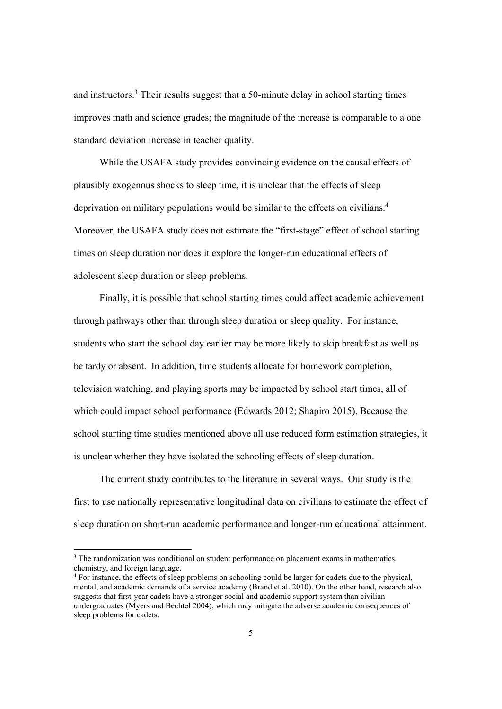and instructors.<sup>3</sup> Their results suggest that a 50-minute delay in school starting times improves math and science grades; the magnitude of the increase is comparable to a one standard deviation increase in teacher quality.

 While the USAFA study provides convincing evidence on the causal effects of plausibly exogenous shocks to sleep time, it is unclear that the effects of sleep deprivation on military populations would be similar to the effects on civilians.<sup>4</sup> Moreover, the USAFA study does not estimate the "first-stage" effect of school starting times on sleep duration nor does it explore the longer-run educational effects of adolescent sleep duration or sleep problems.

 Finally, it is possible that school starting times could affect academic achievement through pathways other than through sleep duration or sleep quality. For instance, students who start the school day earlier may be more likely to skip breakfast as well as be tardy or absent. In addition, time students allocate for homework completion, television watching, and playing sports may be impacted by school start times, all of which could impact school performance (Edwards 2012; Shapiro 2015). Because the school starting time studies mentioned above all use reduced form estimation strategies, it is unclear whether they have isolated the schooling effects of sleep duration.

 The current study contributes to the literature in several ways. Our study is the first to use nationally representative longitudinal data on civilians to estimate the effect of sleep duration on short-run academic performance and longer-run educational attainment.

<sup>&</sup>lt;sup>3</sup> The randomization was conditional on student performance on placement exams in mathematics, chemistry, and foreign language.

<sup>4</sup> For instance, the effects of sleep problems on schooling could be larger for cadets due to the physical, mental, and academic demands of a service academy (Brand et al. 2010). On the other hand, research also suggests that first-year cadets have a stronger social and academic support system than civilian undergraduates (Myers and Bechtel 2004), which may mitigate the adverse academic consequences of sleep problems for cadets.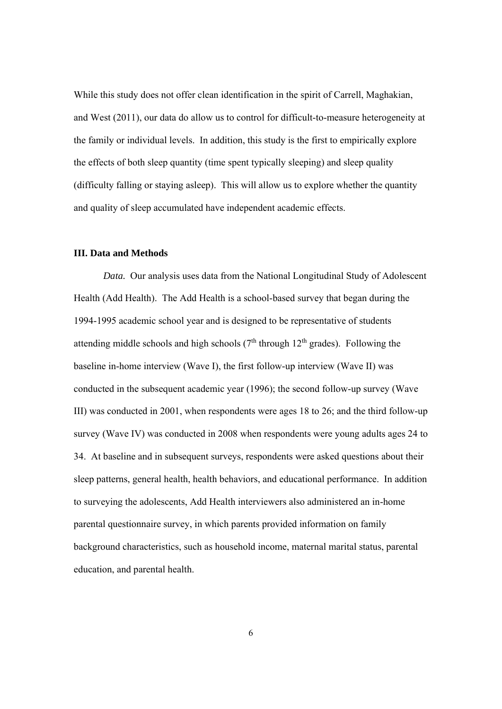While this study does not offer clean identification in the spirit of Carrell, Maghakian, and West (2011), our data do allow us to control for difficult-to-measure heterogeneity at the family or individual levels. In addition, this study is the first to empirically explore the effects of both sleep quantity (time spent typically sleeping) and sleep quality (difficulty falling or staying asleep). This will allow us to explore whether the quantity and quality of sleep accumulated have independent academic effects.

#### **III. Data and Methods**

*Data.* Our analysis uses data from the National Longitudinal Study of Adolescent Health (Add Health). The Add Health is a school-based survey that began during the 1994-1995 academic school year and is designed to be representative of students attending middle schools and high schools  $(7<sup>th</sup>$  through  $12<sup>th</sup>$  grades). Following the baseline in-home interview (Wave I), the first follow-up interview (Wave II) was conducted in the subsequent academic year (1996); the second follow-up survey (Wave III) was conducted in 2001, when respondents were ages 18 to 26; and the third follow-up survey (Wave IV) was conducted in 2008 when respondents were young adults ages 24 to 34. At baseline and in subsequent surveys, respondents were asked questions about their sleep patterns, general health, health behaviors, and educational performance. In addition to surveying the adolescents, Add Health interviewers also administered an in-home parental questionnaire survey, in which parents provided information on family background characteristics, such as household income, maternal marital status, parental education, and parental health.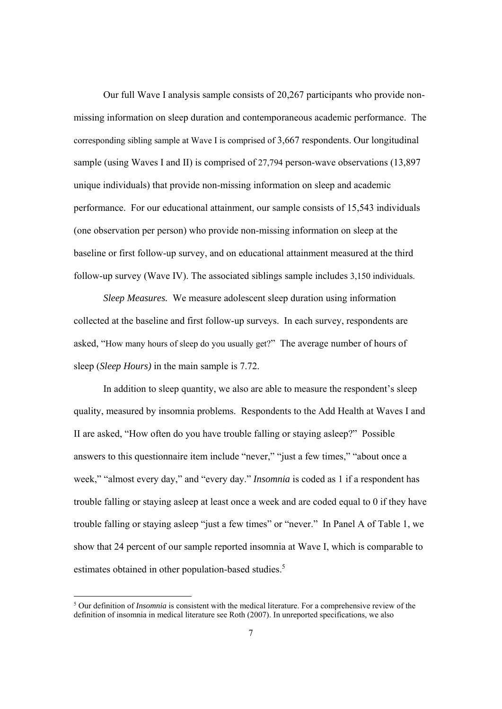Our full Wave I analysis sample consists of 20,267 participants who provide nonmissing information on sleep duration and contemporaneous academic performance. The corresponding sibling sample at Wave I is comprised of 3,667 respondents. Our longitudinal sample (using Waves I and II) is comprised of 27,794 person-wave observations (13,897 unique individuals) that provide non-missing information on sleep and academic performance. For our educational attainment, our sample consists of 15,543 individuals (one observation per person) who provide non-missing information on sleep at the baseline or first follow-up survey, and on educational attainment measured at the third follow-up survey (Wave IV). The associated siblings sample includes 3,150 individuals.

*Sleep Measures.* We measure adolescent sleep duration using information collected at the baseline and first follow-up surveys. In each survey, respondents are asked, "How many hours of sleep do you usually get?" The average number of hours of sleep (*Sleep Hours)* in the main sample is 7.72.

In addition to sleep quantity, we also are able to measure the respondent's sleep quality, measured by insomnia problems. Respondents to the Add Health at Waves I and II are asked, "How often do you have trouble falling or staying asleep?" Possible answers to this questionnaire item include "never," "just a few times," "about once a week," "almost every day," and "every day." *Insomnia* is coded as 1 if a respondent has trouble falling or staying asleep at least once a week and are coded equal to 0 if they have trouble falling or staying asleep "just a few times" or "never." In Panel A of Table 1, we show that 24 percent of our sample reported insomnia at Wave I, which is comparable to estimates obtained in other population-based studies.<sup>5</sup>

<sup>&</sup>lt;sup>5</sup> Our definition of *Insomnia* is consistent with the medical literature. For a comprehensive review of the definition of insomnia in medical literature see Roth (2007). In unreported specifications, we also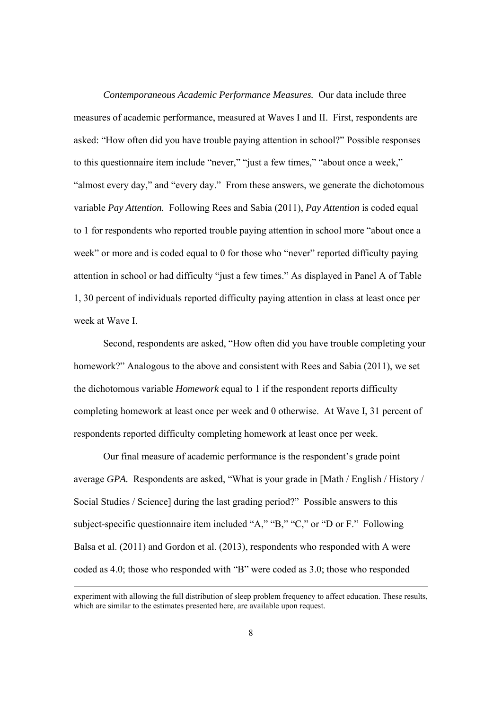*Contemporaneous Academic Performance Measures.* Our data include three measures of academic performance, measured at Waves I and II. First, respondents are asked: "How often did you have trouble paying attention in school?" Possible responses to this questionnaire item include "never," "just a few times," "about once a week," "almost every day," and "every day." From these answers, we generate the dichotomous variable *Pay Attention.* Following Rees and Sabia (2011), *Pay Attention* is coded equal to 1 for respondents who reported trouble paying attention in school more "about once a week" or more and is coded equal to 0 for those who "never" reported difficulty paying attention in school or had difficulty "just a few times." As displayed in Panel A of Table 1, 30 percent of individuals reported difficulty paying attention in class at least once per week at Wave I.

 Second, respondents are asked, "How often did you have trouble completing your homework?" Analogous to the above and consistent with Rees and Sabia (2011), we set the dichotomous variable *Homework* equal to 1 if the respondent reports difficulty completing homework at least once per week and 0 otherwise. At Wave I, 31 percent of respondents reported difficulty completing homework at least once per week.

 Our final measure of academic performance is the respondent's grade point average *GPA.* Respondents are asked, "What is your grade in [Math / English / History / Social Studies / Science] during the last grading period?" Possible answers to this subject-specific questionnaire item included "A," "B," "C," or "D or F." Following Balsa et al. (2011) and Gordon et al. (2013), respondents who responded with A were coded as 4.0; those who responded with "B" were coded as 3.0; those who responded

<sup>&</sup>lt;u> 1989 - Andrea Santa Alemania, poeta esperanto-a político de la propia de la propia de la propia de la propia</u> experiment with allowing the full distribution of sleep problem frequency to affect education. These results, which are similar to the estimates presented here, are available upon request.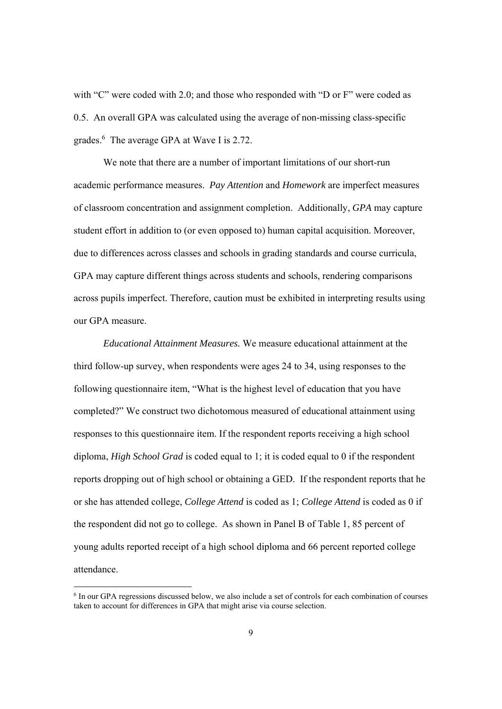with "C" were coded with 2.0; and those who responded with "D or F" were coded as 0.5. An overall GPA was calculated using the average of non-missing class-specific grades.<sup>6</sup> The average GPA at Wave I is 2.72.

We note that there are a number of important limitations of our short-run academic performance measures. *Pay Attention* and *Homework* are imperfect measures of classroom concentration and assignment completion. Additionally, *GPA* may capture student effort in addition to (or even opposed to) human capital acquisition. Moreover, due to differences across classes and schools in grading standards and course curricula, GPA may capture different things across students and schools, rendering comparisons across pupils imperfect. Therefore, caution must be exhibited in interpreting results using our GPA measure.

*Educational Attainment Measures.* We measure educational attainment at the third follow-up survey, when respondents were ages 24 to 34, using responses to the following questionnaire item, "What is the highest level of education that you have completed?" We construct two dichotomous measured of educational attainment using responses to this questionnaire item. If the respondent reports receiving a high school diploma, *High School Grad* is coded equal to 1; it is coded equal to 0 if the respondent reports dropping out of high school or obtaining a GED. If the respondent reports that he or she has attended college, *College Attend* is coded as 1; *College Attend* is coded as 0 if the respondent did not go to college. As shown in Panel B of Table 1, 85 percent of young adults reported receipt of a high school diploma and 66 percent reported college attendance.

<sup>6</sup> In our GPA regressions discussed below, we also include a set of controls for each combination of courses taken to account for differences in GPA that might arise via course selection.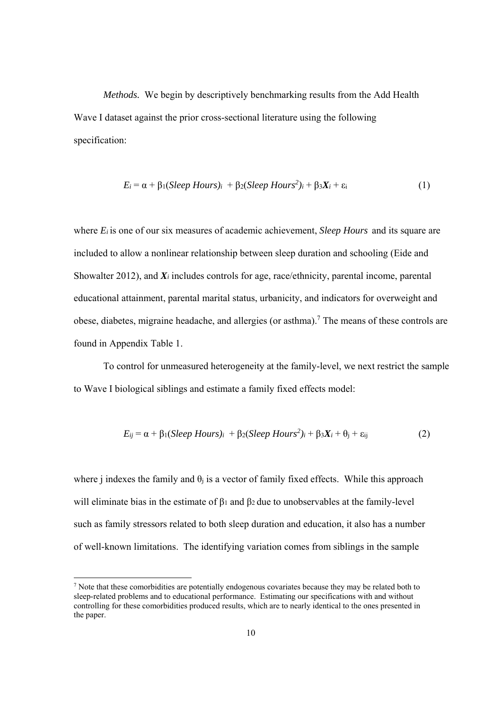*Methods.* We begin by descriptively benchmarking results from the Add Health Wave I dataset against the prior cross-sectional literature using the following specification:

$$
E_i = \alpha + \beta_1 (Sleep \, Hours)_i + \beta_2 (Sleep \, Hours^2)_i + \beta_3 X_i + \varepsilon_i \tag{1}
$$

where *Ei* is one of our six measures of academic achievement, *Sleep Hours* and its square are included to allow a nonlinear relationship between sleep duration and schooling (Eide and Showalter 2012), and  $X_i$  includes controls for age, race/ethnicity, parental income, parental educational attainment, parental marital status, urbanicity, and indicators for overweight and obese, diabetes, migraine headache, and allergies (or asthma).<sup>7</sup> The means of these controls are found in Appendix Table 1.

 To control for unmeasured heterogeneity at the family-level, we next restrict the sample to Wave I biological siblings and estimate a family fixed effects model:

$$
E_{ij} = \alpha + \beta_1 (Sleep \, Hours)_i + \beta_2 (Sleep \, Hours^2)_i + \beta_3 X_i + \theta_j + \varepsilon_{ij} \tag{2}
$$

where j indexes the family and  $\theta_i$  is a vector of family fixed effects. While this approach will eliminate bias in the estimate of  $\beta_1$  and  $\beta_2$  due to unobservables at the family-level such as family stressors related to both sleep duration and education, it also has a number of well-known limitations. The identifying variation comes from siblings in the sample

<sup>&</sup>lt;sup>7</sup> Note that these comorbidities are potentially endogenous covariates because they may be related both to sleep-related problems and to educational performance. Estimating our specifications with and without controlling for these comorbidities produced results, which are to nearly identical to the ones presented in the paper.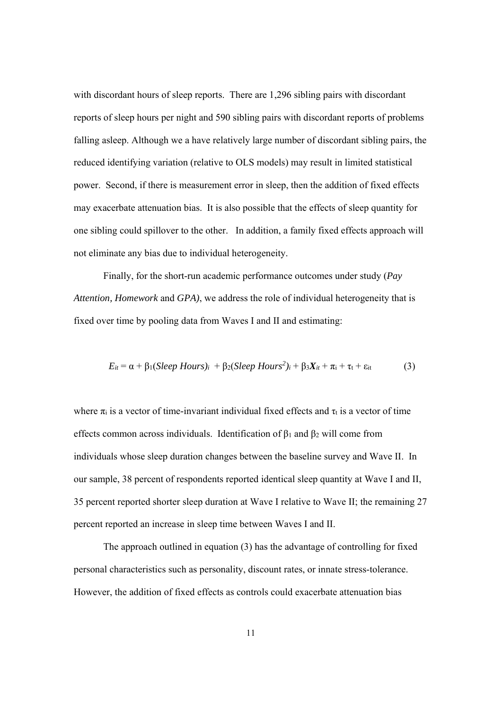with discordant hours of sleep reports. There are 1,296 sibling pairs with discordant reports of sleep hours per night and 590 sibling pairs with discordant reports of problems falling asleep. Although we a have relatively large number of discordant sibling pairs, the reduced identifying variation (relative to OLS models) may result in limited statistical power. Second, if there is measurement error in sleep, then the addition of fixed effects may exacerbate attenuation bias. It is also possible that the effects of sleep quantity for one sibling could spillover to the other. In addition, a family fixed effects approach will not eliminate any bias due to individual heterogeneity.

 Finally, for the short-run academic performance outcomes under study (*Pay Attention, Homework* and *GPA)*, we address the role of individual heterogeneity that is fixed over time by pooling data from Waves I and II and estimating:

$$
E_{it} = \alpha + \beta_1 (Sleep \ Hours)_i + \beta_2 (Sleep \ Hours^2)_i + \beta_3 X_{it} + \pi_i + \tau_t + \varepsilon_{it}
$$
 (3)

where  $\pi_i$  is a vector of time-invariant individual fixed effects and  $\tau_i$  is a vector of time effects common across individuals. Identification of  $\beta_1$  and  $\beta_2$  will come from individuals whose sleep duration changes between the baseline survey and Wave II. In our sample, 38 percent of respondents reported identical sleep quantity at Wave I and II, 35 percent reported shorter sleep duration at Wave I relative to Wave II; the remaining 27 percent reported an increase in sleep time between Waves I and II.

The approach outlined in equation (3) has the advantage of controlling for fixed personal characteristics such as personality, discount rates, or innate stress-tolerance. However, the addition of fixed effects as controls could exacerbate attenuation bias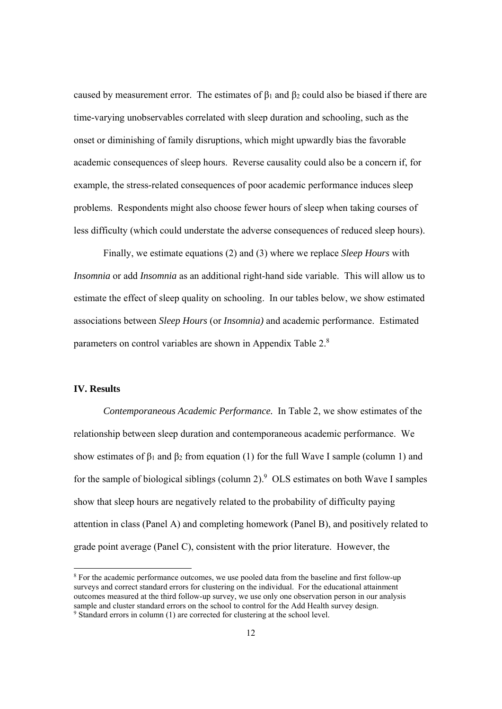caused by measurement error. The estimates of  $β_1$  and  $β_2$  could also be biased if there are time-varying unobservables correlated with sleep duration and schooling, such as the onset or diminishing of family disruptions, which might upwardly bias the favorable academic consequences of sleep hours. Reverse causality could also be a concern if, for example, the stress-related consequences of poor academic performance induces sleep problems. Respondents might also choose fewer hours of sleep when taking courses of less difficulty (which could understate the adverse consequences of reduced sleep hours).

Finally, we estimate equations (2) and (3) where we replace *Sleep Hours* with *Insomnia* or add *Insomnia* as an additional right-hand side variable. This will allow us to estimate the effect of sleep quality on schooling. In our tables below, we show estimated associations between *Sleep Hours* (or *Insomnia)* and academic performance. Estimated parameters on control variables are shown in Appendix Table 2.<sup>8</sup>

#### **IV. Results**

 

*Contemporaneous Academic Performance.* In Table 2, we show estimates of the relationship between sleep duration and contemporaneous academic performance. We show estimates of  $\beta_1$  and  $\beta_2$  from equation (1) for the full Wave I sample (column 1) and for the sample of biological siblings (column 2). $9$  OLS estimates on both Wave I samples show that sleep hours are negatively related to the probability of difficulty paying attention in class (Panel A) and completing homework (Panel B), and positively related to grade point average (Panel C), consistent with the prior literature. However, the

<sup>&</sup>lt;sup>8</sup> For the academic performance outcomes, we use pooled data from the baseline and first follow-up surveys and correct standard errors for clustering on the individual. For the educational attainment outcomes measured at the third follow-up survey, we use only one observation person in our analysis sample and cluster standard errors on the school to control for the Add Health survey design. <sup>9</sup> Standard errors in column (1) are corrected for clustering at the school level.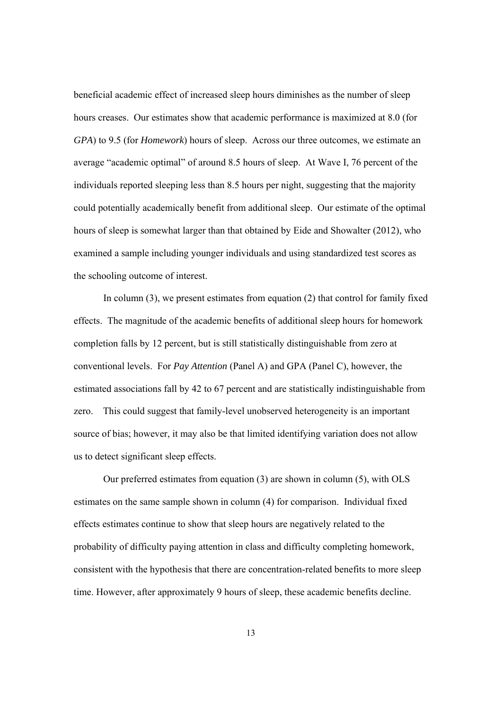beneficial academic effect of increased sleep hours diminishes as the number of sleep hours creases. Our estimates show that academic performance is maximized at 8.0 (for *GPA*) to 9.5 (for *Homework*) hours of sleep. Across our three outcomes, we estimate an average "academic optimal" of around 8.5 hours of sleep. At Wave I, 76 percent of the individuals reported sleeping less than 8.5 hours per night, suggesting that the majority could potentially academically benefit from additional sleep. Our estimate of the optimal hours of sleep is somewhat larger than that obtained by Eide and Showalter (2012), who examined a sample including younger individuals and using standardized test scores as the schooling outcome of interest.

In column  $(3)$ , we present estimates from equation  $(2)$  that control for family fixed effects. The magnitude of the academic benefits of additional sleep hours for homework completion falls by 12 percent, but is still statistically distinguishable from zero at conventional levels. For *Pay Attention* (Panel A) and GPA (Panel C), however, the estimated associations fall by 42 to 67 percent and are statistically indistinguishable from zero. This could suggest that family-level unobserved heterogeneity is an important source of bias; however, it may also be that limited identifying variation does not allow us to detect significant sleep effects.

Our preferred estimates from equation (3) are shown in column (5), with OLS estimates on the same sample shown in column (4) for comparison. Individual fixed effects estimates continue to show that sleep hours are negatively related to the probability of difficulty paying attention in class and difficulty completing homework, consistent with the hypothesis that there are concentration-related benefits to more sleep time. However, after approximately 9 hours of sleep, these academic benefits decline.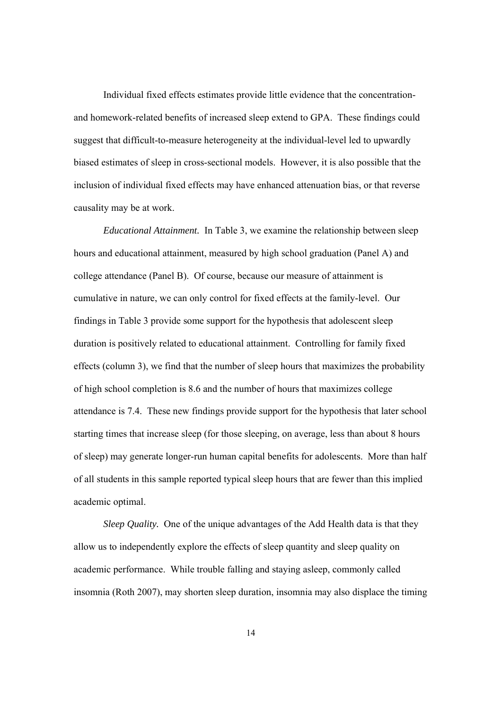Individual fixed effects estimates provide little evidence that the concentrationand homework-related benefits of increased sleep extend to GPA. These findings could suggest that difficult-to-measure heterogeneity at the individual-level led to upwardly biased estimates of sleep in cross-sectional models. However, it is also possible that the inclusion of individual fixed effects may have enhanced attenuation bias, or that reverse causality may be at work.

*Educational Attainment.* In Table 3, we examine the relationship between sleep hours and educational attainment, measured by high school graduation (Panel A) and college attendance (Panel B). Of course, because our measure of attainment is cumulative in nature, we can only control for fixed effects at the family-level. Our findings in Table 3 provide some support for the hypothesis that adolescent sleep duration is positively related to educational attainment. Controlling for family fixed effects (column 3), we find that the number of sleep hours that maximizes the probability of high school completion is 8.6 and the number of hours that maximizes college attendance is 7.4. These new findings provide support for the hypothesis that later school starting times that increase sleep (for those sleeping, on average, less than about 8 hours of sleep) may generate longer-run human capital benefits for adolescents. More than half of all students in this sample reported typical sleep hours that are fewer than this implied academic optimal.

*Sleep Quality.* One of the unique advantages of the Add Health data is that they allow us to independently explore the effects of sleep quantity and sleep quality on academic performance. While trouble falling and staying asleep, commonly called insomnia (Roth 2007), may shorten sleep duration, insomnia may also displace the timing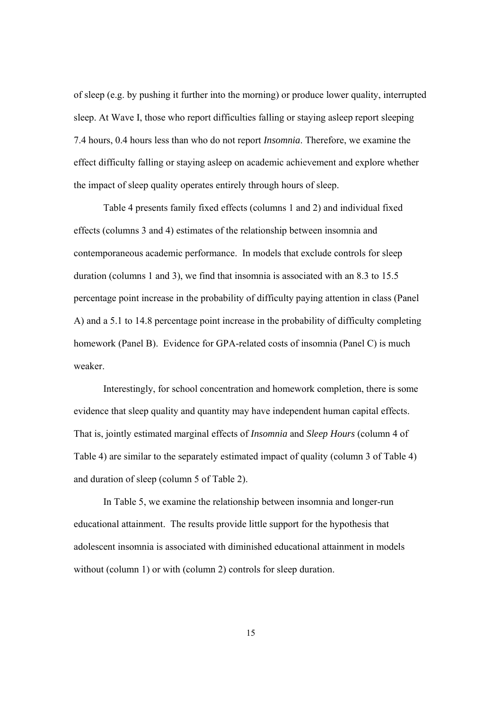of sleep (e.g. by pushing it further into the morning) or produce lower quality, interrupted sleep. At Wave I, those who report difficulties falling or staying asleep report sleeping 7.4 hours, 0.4 hours less than who do not report *Insomnia*. Therefore, we examine the effect difficulty falling or staying asleep on academic achievement and explore whether the impact of sleep quality operates entirely through hours of sleep.

Table 4 presents family fixed effects (columns 1 and 2) and individual fixed effects (columns 3 and 4) estimates of the relationship between insomnia and contemporaneous academic performance. In models that exclude controls for sleep duration (columns 1 and 3), we find that insomnia is associated with an 8.3 to 15.5 percentage point increase in the probability of difficulty paying attention in class (Panel A) and a 5.1 to 14.8 percentage point increase in the probability of difficulty completing homework (Panel B). Evidence for GPA-related costs of insomnia (Panel C) is much weaker.

Interestingly, for school concentration and homework completion, there is some evidence that sleep quality and quantity may have independent human capital effects. That is, jointly estimated marginal effects of *Insomnia* and *Sleep Hours* (column 4 of Table 4) are similar to the separately estimated impact of quality (column 3 of Table 4) and duration of sleep (column 5 of Table 2).

In Table 5, we examine the relationship between insomnia and longer-run educational attainment. The results provide little support for the hypothesis that adolescent insomnia is associated with diminished educational attainment in models without (column 1) or with (column 2) controls for sleep duration.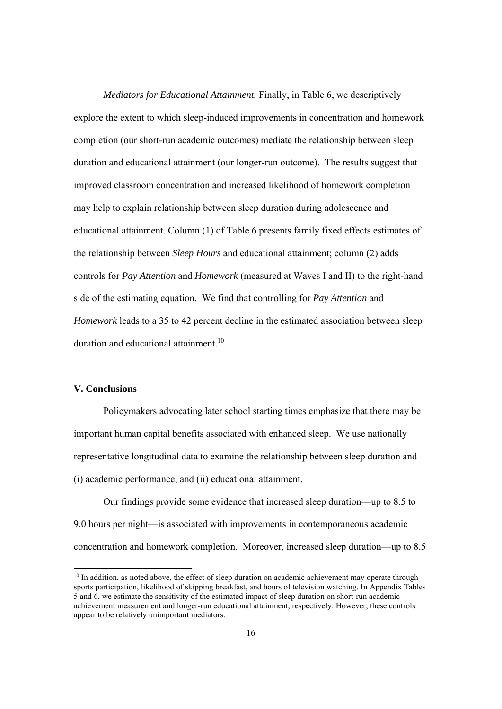*Mediators for Educational Attainment.* Finally, in Table 6, we descriptively explore the extent to which sleep-induced improvements in concentration and homework completion (our short-run academic outcomes) mediate the relationship between sleep duration and educational attainment (our longer-run outcome). The results suggest that improved classroom concentration and increased likelihood of homework completion may help to explain relationship between sleep duration during adolescence and educational attainment. Column (1) of Table 6 presents family fixed effects estimates of the relationship between *Sleep Hours* and educational attainment; column (2) adds controls for *Pay Attention* and *Homework* (measured at Waves I and II) to the right-hand side of the estimating equation. We find that controlling for *Pay Attention* and *Homework* leads to a 35 to 42 percent decline in the estimated association between sleep duration and educational attainment.<sup>10</sup>

#### **V. Conclusions**

 

Policymakers advocating later school starting times emphasize that there may be important human capital benefits associated with enhanced sleep. We use nationally representative longitudinal data to examine the relationship between sleep duration and (i) academic performance, and (ii) educational attainment.

Our findings provide some evidence that increased sleep duration—up to 8.5 to 9.0 hours per night—is associated with improvements in contemporaneous academic concentration and homework completion. Moreover, increased sleep duration—up to 8.5

<sup>&</sup>lt;sup>10</sup> In addition, as noted above, the effect of sleep duration on academic achievement may operate through sports participation, likelihood of skipping breakfast, and hours of television watching. In Appendix Tables 5 and 6, we estimate the sensitivity of the estimated impact of sleep duration on short-run academic achievement measurement and longer-run educational attainment, respectively. However, these controls appear to be relatively unimportant mediators.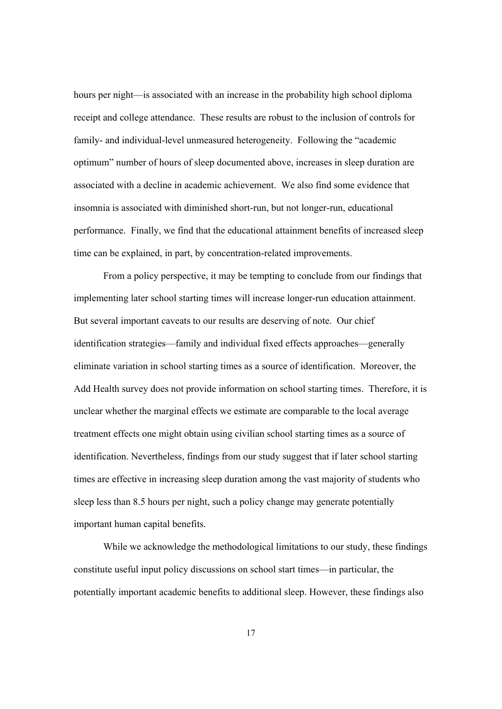hours per night—is associated with an increase in the probability high school diploma receipt and college attendance. These results are robust to the inclusion of controls for family- and individual-level unmeasured heterogeneity. Following the "academic optimum" number of hours of sleep documented above, increases in sleep duration are associated with a decline in academic achievement. We also find some evidence that insomnia is associated with diminished short-run, but not longer-run, educational performance. Finally, we find that the educational attainment benefits of increased sleep time can be explained, in part, by concentration-related improvements.

 From a policy perspective, it may be tempting to conclude from our findings that implementing later school starting times will increase longer-run education attainment. But several important caveats to our results are deserving of note. Our chief identification strategies—family and individual fixed effects approaches—generally eliminate variation in school starting times as a source of identification. Moreover, the Add Health survey does not provide information on school starting times. Therefore, it is unclear whether the marginal effects we estimate are comparable to the local average treatment effects one might obtain using civilian school starting times as a source of identification. Nevertheless, findings from our study suggest that if later school starting times are effective in increasing sleep duration among the vast majority of students who sleep less than 8.5 hours per night, such a policy change may generate potentially important human capital benefits.

 While we acknowledge the methodological limitations to our study, these findings constitute useful input policy discussions on school start times—in particular, the potentially important academic benefits to additional sleep. However, these findings also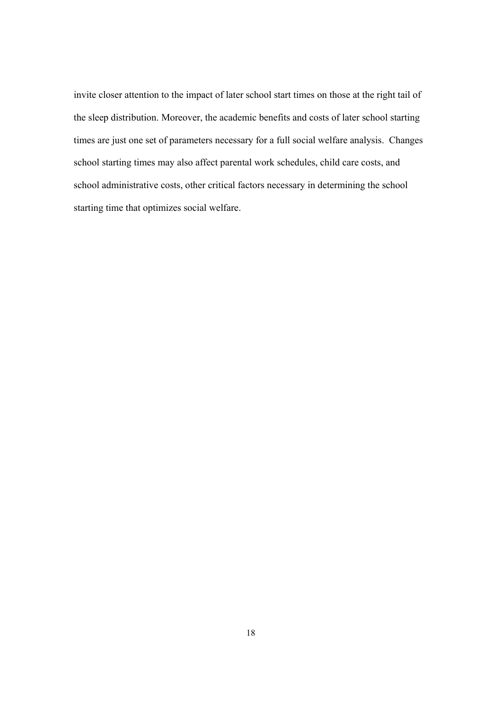invite closer attention to the impact of later school start times on those at the right tail of the sleep distribution. Moreover, the academic benefits and costs of later school starting times are just one set of parameters necessary for a full social welfare analysis. Changes school starting times may also affect parental work schedules, child care costs, and school administrative costs, other critical factors necessary in determining the school starting time that optimizes social welfare.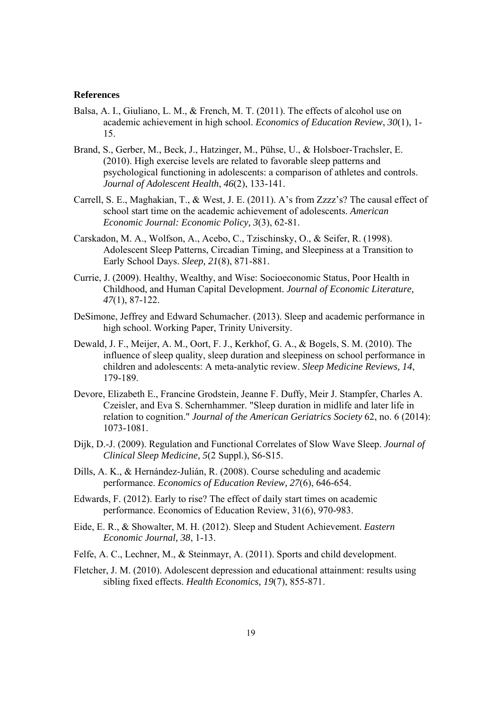#### **References**

- Balsa, A. I., Giuliano, L. M., & French, M. T. (2011). The effects of alcohol use on academic achievement in high school. *Economics of Education Review*, *30*(1), 1- 15.
- Brand, S., Gerber, M., Beck, J., Hatzinger, M., Pühse, U., & Holsboer-Trachsler, E. (2010). High exercise levels are related to favorable sleep patterns and psychological functioning in adolescents: a comparison of athletes and controls. *Journal of Adolescent Health*, *46*(2), 133-141.
- Carrell, S. E., Maghakian, T., & West, J. E. (2011). A's from Zzzz's? The causal effect of school start time on the academic achievement of adolescents. *American Economic Journal: Economic Policy, 3*(3), 62-81.
- Carskadon, M. A., Wolfson, A., Acebo, C., Tzischinsky, O., & Seifer, R. (1998). Adolescent Sleep Patterns, Circadian Timing, and Sleepiness at a Transition to Early School Days. *Sleep, 21*(8), 871-881.
- Currie, J. (2009). Healthy, Wealthy, and Wise: Socioeconomic Status, Poor Health in Childhood, and Human Capital Development. *Journal of Economic Literature, 47*(1), 87-122.
- DeSimone, Jeffrey and Edward Schumacher. (2013). Sleep and academic performance in high school. Working Paper, Trinity University.
- Dewald, J. F., Meijer, A. M., Oort, F. J., Kerkhof, G. A., & Bogels, S. M. (2010). The influence of sleep quality, sleep duration and sleepiness on school performance in children and adolescents: A meta-analytic review. *Sleep Medicine Reviews, 14*, 179-189.
- Devore, Elizabeth E., Francine Grodstein, Jeanne F. Duffy, Meir J. Stampfer, Charles A. Czeisler, and Eva S. Schernhammer. "Sleep duration in midlife and later life in relation to cognition." *Journal of the American Geriatrics Society* 62, no. 6 (2014): 1073-1081.
- Dijk, D.-J. (2009). Regulation and Functional Correlates of Slow Wave Sleep. *Journal of Clinical Sleep Medicine, 5*(2 Suppl.), S6-S15.
- Dills, A. K., & Hernández-Julián, R. (2008). Course scheduling and academic performance. *Economics of Education Review, 27*(6), 646-654.
- Edwards, F. (2012). Early to rise? The effect of daily start times on academic performance. Economics of Education Review, 31(6), 970-983.
- Eide, E. R., & Showalter, M. H. (2012). Sleep and Student Achievement. *Eastern Economic Journal, 38*, 1-13.
- Felfe, A. C., Lechner, M., & Steinmayr, A. (2011). Sports and child development.
- Fletcher, J. M. (2010). Adolescent depression and educational attainment: results using sibling fixed effects. *Health Economics, 19*(7), 855-871.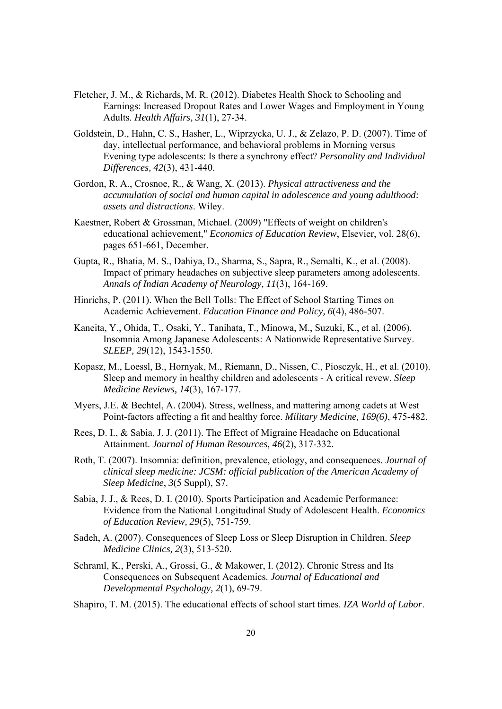- Fletcher, J. M., & Richards, M. R. (2012). Diabetes Health Shock to Schooling and Earnings: Increased Dropout Rates and Lower Wages and Employment in Young Adults. *Health Affairs, 31*(1), 27-34.
- Goldstein, D., Hahn, C. S., Hasher, L., Wiprzycka, U. J., & Zelazo, P. D. (2007). Time of day, intellectual performance, and behavioral problems in Morning versus Evening type adolescents: Is there a synchrony effect? *Personality and Individual Differences, 42*(3), 431-440.
- Gordon, R. A., Crosnoe, R., & Wang, X. (2013). *Physical attractiveness and the accumulation of social and human capital in adolescence and young adulthood: assets and distractions*. Wiley.
- Kaestner, Robert & Grossman, Michael. (2009) "Effects of weight on children's educational achievement," *Economics of Education Review*, Elsevier, vol. 28(6), pages 651-661, December.
- Gupta, R., Bhatia, M. S., Dahiya, D., Sharma, S., Sapra, R., Semalti, K., et al. (2008). Impact of primary headaches on subjective sleep parameters among adolescents. *Annals of Indian Academy of Neurology, 11*(3), 164-169.
- Hinrichs, P. (2011). When the Bell Tolls: The Effect of School Starting Times on Academic Achievement. *Education Finance and Policy, 6*(4), 486-507.
- Kaneita, Y., Ohida, T., Osaki, Y., Tanihata, T., Minowa, M., Suzuki, K., et al. (2006). Insomnia Among Japanese Adolescents: A Nationwide Representative Survey. *SLEEP, 29*(12), 1543-1550.
- Kopasz, M., Loessl, B., Hornyak, M., Riemann, D., Nissen, C., Piosczyk, H., et al. (2010). Sleep and memory in healthy children and adolescents - A critical revew. *Sleep Medicine Reviews, 14*(3), 167-177.
- Myers, J.E. & Bechtel, A. (2004). Stress, wellness, and mattering among cadets at West Point-factors affecting a fit and healthy force. *Military Medicine, 169(6)*, 475-482.
- Rees, D. I., & Sabia, J. J. (2011). The Effect of Migraine Headache on Educational Attainment. *Journal of Human Resources, 46*(2), 317-332.
- Roth, T. (2007). Insomnia: definition, prevalence, etiology, and consequences. *Journal of clinical sleep medicine: JCSM: official publication of the American Academy of Sleep Medicine*, *3*(5 Suppl), S7.
- Sabia, J. J., & Rees, D. I. (2010). Sports Participation and Academic Performance: Evidence from the National Longitudinal Study of Adolescent Health. *Economics of Education Review, 29*(5), 751-759.
- Sadeh, A. (2007). Consequences of Sleep Loss or Sleep Disruption in Children. *Sleep Medicine Clinics, 2*(3), 513-520.
- Schraml, K., Perski, A., Grossi, G., & Makower, I. (2012). Chronic Stress and Its Consequences on Subsequent Academics. *Journal of Educational and Developmental Psychology, 2*(1), 69-79.

Shapiro, T. M. (2015). The educational effects of school start times. *IZA World of Labor*.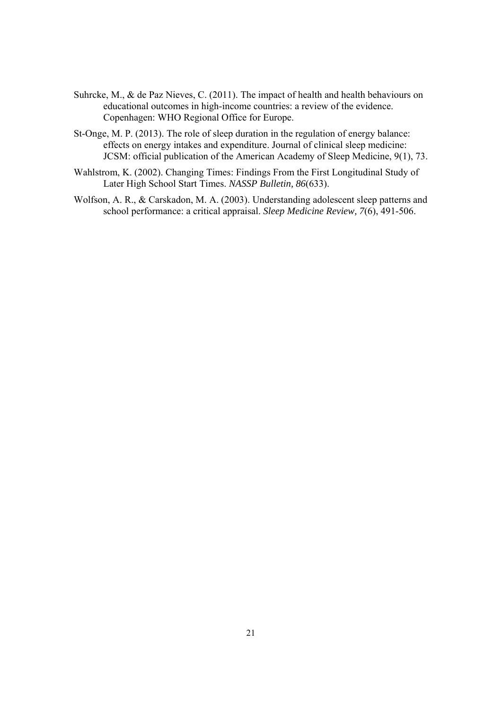- Suhrcke, M., & de Paz Nieves, C. (2011). The impact of health and health behaviours on educational outcomes in high-income countries: a review of the evidence. Copenhagen: WHO Regional Office for Europe.
- St-Onge, M. P. (2013). The role of sleep duration in the regulation of energy balance: effects on energy intakes and expenditure. Journal of clinical sleep medicine: JCSM: official publication of the American Academy of Sleep Medicine, 9(1), 73.
- Wahlstrom, K. (2002). Changing Times: Findings From the First Longitudinal Study of Later High School Start Times. *NASSP Bulletin, 86*(633).
- Wolfson, A. R., & Carskadon, M. A. (2003). Understanding adolescent sleep patterns and school performance: a critical appraisal. *Sleep Medicine Review, 7*(6), 491-506.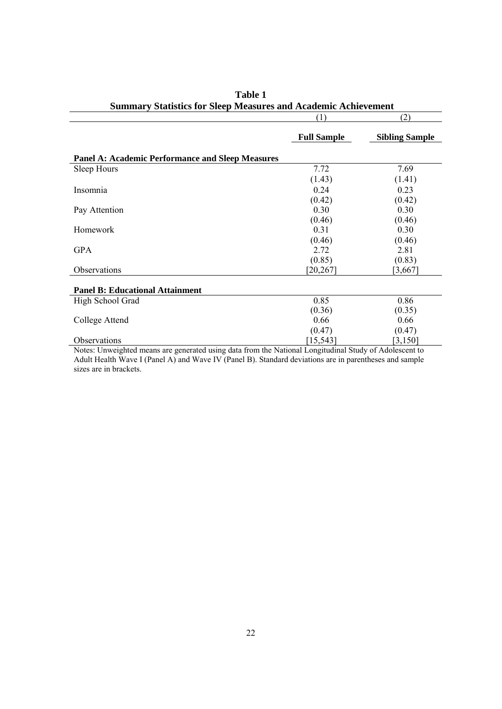|                                                                                                        | (1)                | (2)                   |
|--------------------------------------------------------------------------------------------------------|--------------------|-----------------------|
|                                                                                                        | <b>Full Sample</b> | <b>Sibling Sample</b> |
| <b>Panel A: Academic Performance and Sleep Measures</b>                                                |                    |                       |
| Sleep Hours                                                                                            | 7.72               | 7.69                  |
|                                                                                                        | (1.43)             | (1.41)                |
| Insomnia                                                                                               | 0.24               | 0.23                  |
|                                                                                                        | (0.42)             | (0.42)                |
| Pay Attention                                                                                          | 0.30               | 0.30                  |
|                                                                                                        | (0.46)             | (0.46)                |
| Homework                                                                                               | 0.31               | 0.30                  |
|                                                                                                        | (0.46)             | (0.46)                |
| <b>GPA</b>                                                                                             | 2.72               | 2.81                  |
|                                                                                                        | (0.85)             | (0.83)                |
| Observations                                                                                           | [20, 267]          | [3,667]               |
| <b>Panel B: Educational Attainment</b>                                                                 |                    |                       |
| High School Grad                                                                                       | 0.85               | 0.86                  |
|                                                                                                        | (0.36)             | (0.35)                |
| College Attend                                                                                         | 0.66               | 0.66                  |
|                                                                                                        | (0.47)             | (0.47)                |
| Observations                                                                                           | [15, 543]          | [3, 150]              |
| Notes: Unweighted means are generated using data from the National Longitudinal Study of Adolescent to |                    |                       |

| Table 1                                                               |  |
|-----------------------------------------------------------------------|--|
| <b>Summary Statistics for Sleep Measures and Academic Achievement</b> |  |

Notes: Unweighted means are generated using data from the National Longitudinal Study of Adolescent to Adult Health Wave I (Panel A) and Wave IV (Panel B). Standard deviations are in parentheses and sample sizes are in brackets.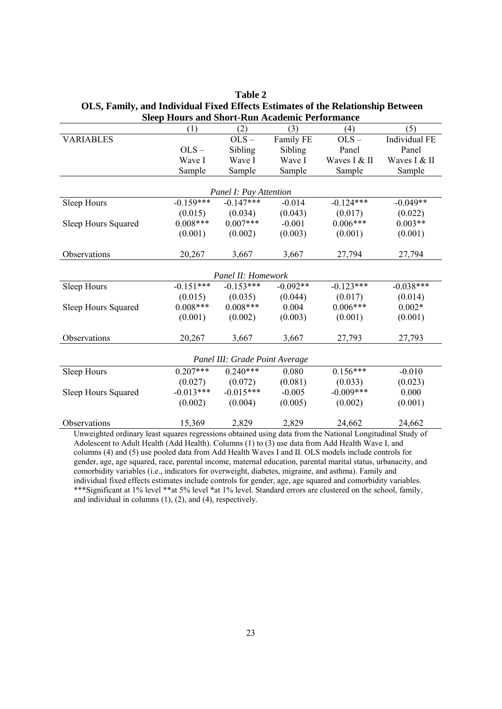| sicep trouts and snore-ivan Academic I criorinance                                                        |             |                                |            |              |               |  |
|-----------------------------------------------------------------------------------------------------------|-------------|--------------------------------|------------|--------------|---------------|--|
|                                                                                                           | (1)         | (2)                            | (3)        | (4)          | (5)           |  |
| <b>VARIABLES</b>                                                                                          |             | $OLS -$                        | Family FE  | $OLS -$      | Individual FE |  |
|                                                                                                           | $OLS -$     | Sibling                        | Sibling    | Panel        | Panel         |  |
|                                                                                                           | Wave I      | Wave I                         | Wave I     | Waves I & II | Waves I & II  |  |
|                                                                                                           | Sample      | Sample                         | Sample     | Sample       | Sample        |  |
|                                                                                                           |             |                                |            |              |               |  |
|                                                                                                           |             | Panel I: Pay Attention         |            |              |               |  |
| Sleep Hours                                                                                               | $-0.159***$ | $-0.147***$                    | $-0.014$   | $-0.124***$  | $-0.049**$    |  |
|                                                                                                           | (0.015)     | (0.034)                        | (0.043)    | (0.017)      | (0.022)       |  |
| Sleep Hours Squared                                                                                       | $0.008***$  | $0.007***$                     | $-0.001$   | $0.006***$   | $0.003**$     |  |
|                                                                                                           | (0.001)     | (0.002)                        | (0.003)    | (0.001)      | (0.001)       |  |
|                                                                                                           |             |                                |            |              |               |  |
| Observations                                                                                              | 20,267      | 3,667                          | 3,667      | 27,794       | 27,794        |  |
|                                                                                                           |             |                                |            |              |               |  |
|                                                                                                           |             | Panel II: Homework             |            |              |               |  |
| Sleep Hours                                                                                               | $-0.151***$ | $-0.153***$                    | $-0.092**$ | $-0.123***$  | $-0.038***$   |  |
|                                                                                                           | (0.015)     | (0.035)                        | (0.044)    | (0.017)      | (0.014)       |  |
| Sleep Hours Squared                                                                                       | $0.008***$  | $0.008***$                     | 0.004      | $0.006***$   | $0.002*$      |  |
|                                                                                                           | (0.001)     | (0.002)                        | (0.003)    | (0.001)      | (0.001)       |  |
|                                                                                                           |             |                                |            |              |               |  |
| Observations                                                                                              | 20,267      | 3,667                          | 3,667      | 27,793       | 27,793        |  |
|                                                                                                           |             |                                |            |              |               |  |
|                                                                                                           |             | Panel III: Grade Point Average |            |              |               |  |
| Sleep Hours                                                                                               | $0.207***$  | $0.240***$                     | 0.080      | $0.156***$   | $-0.010$      |  |
|                                                                                                           | (0.027)     | (0.072)                        | (0.081)    | (0.033)      | (0.023)       |  |
| Sleep Hours Squared                                                                                       | $-0.013***$ | $-0.015***$                    | $-0.005$   | $-0.009***$  | 0.000         |  |
|                                                                                                           | (0.002)     | (0.004)                        | (0.005)    | (0.002)      | (0.001)       |  |
|                                                                                                           |             |                                |            |              |               |  |
| Observations                                                                                              | 15,369      | 2,829                          | 2,829      | 24,662       | 24,662        |  |
| Unweighted ordinary least squares regressions obtained using data from the National Longitudinal Study of |             |                                |            |              |               |  |

**Table 2 OLS, Family, and Individual Fixed Effects Estimates of the Relationship Between Sleep Hours and Short-Run Academic Performance**

Adolescent to Adult Health (Add Health). Columns (1) to (3) use data from Add Health Wave I, and columns (4) and (5) use pooled data from Add Health Waves I and II. OLS models include controls for gender, age, age squared, race, parental income, maternal education, parental marital status, urbanacity, and comorbidity variables (i.e., indicators for overweight, diabetes, migraine, and asthma). Family and individual fixed effects estimates include controls for gender, age, age squared and comorbidity variables. \*\*\*Significant at 1% level \*\*at 5% level \*at 1% level. Standard errors are clustered on the school, family, and individual in columns (1), (2), and (4), respectively.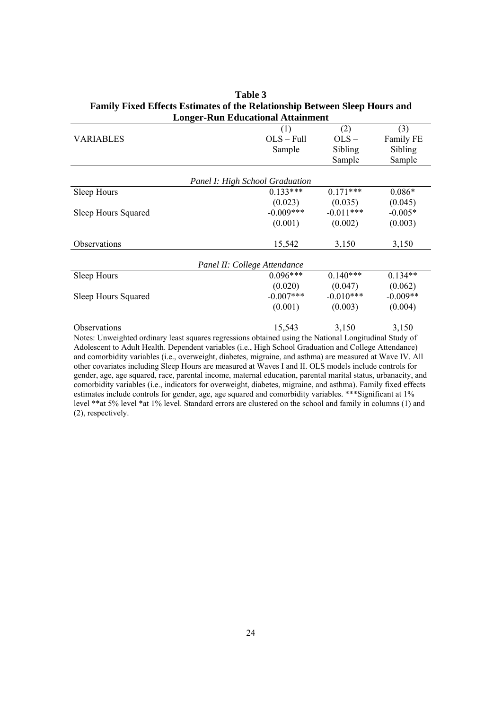|                                                                                                        | Longer-Kun Educational Attainment |             |            |
|--------------------------------------------------------------------------------------------------------|-----------------------------------|-------------|------------|
|                                                                                                        | (1)                               | (2)         | (3)        |
| <b>VARIABLES</b>                                                                                       | $OLS - Full$                      | OLS         | Family FE  |
|                                                                                                        | Sample                            | Sibling     | Sibling    |
|                                                                                                        |                                   | Sample      | Sample     |
|                                                                                                        |                                   |             |            |
|                                                                                                        | Panel I: High School Graduation   |             |            |
| Sleep Hours                                                                                            | $0.133***$                        | $0.171***$  | $0.086*$   |
|                                                                                                        | (0.023)                           | (0.035)     | (0.045)    |
| Sleep Hours Squared                                                                                    | $-0.009***$                       | $-0.011***$ | $-0.005*$  |
|                                                                                                        | (0.001)                           | (0.002)     | (0.003)    |
| Observations                                                                                           | 15,542                            | 3,150       | 3,150      |
|                                                                                                        | Panel II: College Attendance      |             |            |
| Sleep Hours                                                                                            | $0.096***$                        | $0.140***$  | $0.134**$  |
|                                                                                                        | (0.020)                           | (0.047)     | (0.062)    |
| Sleep Hours Squared                                                                                    | $-0.007$ ***                      | $-0.010***$ | $-0.009**$ |
|                                                                                                        | (0.001)                           | (0.003)     | (0.004)    |
| Observations                                                                                           | 15,543                            | 3,150       | 3,150      |
| Notes: Unweighted ordinary least squares regressions obtained using the National Longitudinal Study of |                                   |             |            |

**Table 3 Family Fixed Effects Estimates of the Relationship Between Sleep Hours and Longer-Run Educational Attainment**

Adolescent to Adult Health. Dependent variables (i.e., High School Graduation and College Attendance) and comorbidity variables (i.e., overweight, diabetes, migraine, and asthma) are measured at Wave IV. All other covariates including Sleep Hours are measured at Waves I and II. OLS models include controls for gender, age, age squared, race, parental income, maternal education, parental marital status, urbanacity, and comorbidity variables (i.e., indicators for overweight, diabetes, migraine, and asthma). Family fixed effects estimates include controls for gender, age, age squared and comorbidity variables. \*\*\*Significant at 1% level \*\*at 5% level \*at 1% level. Standard errors are clustered on the school and family in columns (1) and (2), respectively.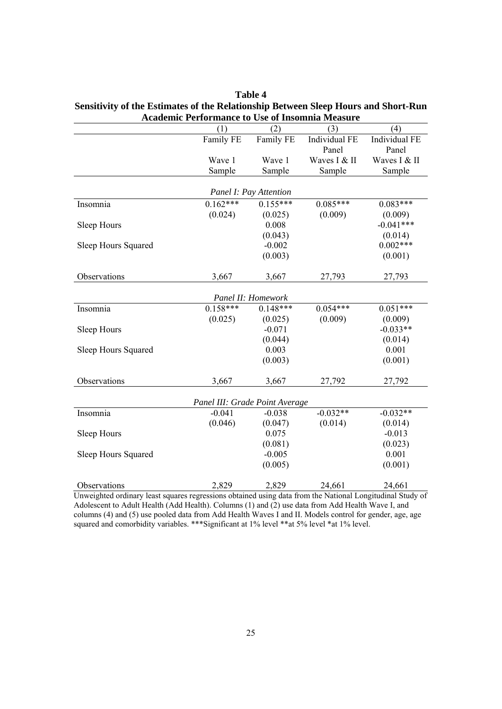| <b>Academic Performance to Use of Insomnia Measure</b> |                                |                        |               |               |  |  |
|--------------------------------------------------------|--------------------------------|------------------------|---------------|---------------|--|--|
|                                                        | (1)                            | (2)                    | (3)           | (4)           |  |  |
|                                                        | Family FE                      | Family FE              | Individual FE | Individual FE |  |  |
|                                                        |                                |                        | Panel         | Panel         |  |  |
|                                                        | Wave 1                         | Wave 1                 | Waves I & II  | Waves I & II  |  |  |
|                                                        | Sample                         | Sample                 | Sample        | Sample        |  |  |
|                                                        |                                | Panel I: Pay Attention |               |               |  |  |
| Insomnia                                               | $0.162***$                     | $0.155***$             | $0.085***$    | $0.083***$    |  |  |
|                                                        | (0.024)                        | (0.025)                | (0.009)       | (0.009)       |  |  |
| Sleep Hours                                            |                                | 0.008                  |               | $-0.041***$   |  |  |
|                                                        |                                | (0.043)                |               | (0.014)       |  |  |
| Sleep Hours Squared                                    |                                | $-0.002$               |               | $0.002***$    |  |  |
|                                                        |                                | (0.003)                |               | (0.001)       |  |  |
|                                                        |                                |                        |               |               |  |  |
| Observations                                           | 3,667                          | 3,667                  | 27,793        | 27,793        |  |  |
|                                                        |                                | Panel II: Homework     |               |               |  |  |
| Insomnia                                               | $0.158***$                     | $0.148***$             | $0.054***$    | $0.051***$    |  |  |
|                                                        | (0.025)                        | (0.025)                | (0.009)       | (0.009)       |  |  |
| Sleep Hours                                            |                                | $-0.071$               |               | $-0.033**$    |  |  |
|                                                        |                                | (0.044)                |               | (0.014)       |  |  |
| Sleep Hours Squared                                    |                                | 0.003                  |               | 0.001         |  |  |
|                                                        |                                | (0.003)                |               | (0.001)       |  |  |
|                                                        |                                |                        |               |               |  |  |
| Observations                                           | 3,667                          | 3,667                  | 27,792        | 27,792        |  |  |
|                                                        | Panel III: Grade Point Average |                        |               |               |  |  |
| Insomnia                                               | $-0.041$                       | $-0.038$               | $-0.032**$    | $-0.032**$    |  |  |
|                                                        | (0.046)                        | (0.047)                | (0.014)       | (0.014)       |  |  |
| Sleep Hours                                            |                                | 0.075                  |               | $-0.013$      |  |  |
|                                                        |                                | (0.081)                |               | (0.023)       |  |  |
| Sleep Hours Squared                                    |                                | $-0.005$               |               | 0.001         |  |  |
|                                                        |                                | (0.005)                |               | (0.001)       |  |  |
|                                                        |                                |                        |               |               |  |  |
| Observations                                           | 2,829                          | 2,829                  | 24,661        | 24,661        |  |  |

| <b>Table 4</b>                                                                     |
|------------------------------------------------------------------------------------|
| Sensitivity of the Estimates of the Relationship Between Sleep Hours and Short-Run |
| Academic Performance to Use of Insomnia Measure                                    |

Unweighted ordinary least squares regressions obtained using data from the National Longitudinal Study of Adolescent to Adult Health (Add Health). Columns (1) and (2) use data from Add Health Wave I, and columns (4) and (5) use pooled data from Add Health Waves I and II. Models control for gender, age, age squared and comorbidity variables. \*\*\*Significant at 1% level \*\*at 5% level \*at 1% level.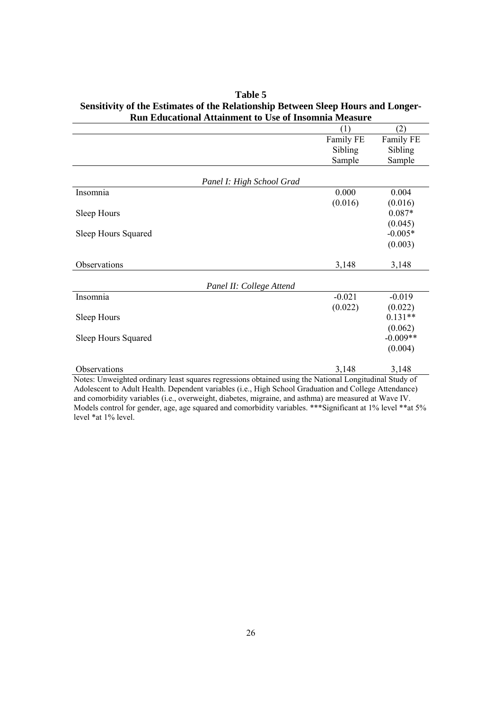|                                                                                                        | (1)       | (2)        |
|--------------------------------------------------------------------------------------------------------|-----------|------------|
|                                                                                                        | Family FE | Family FE  |
|                                                                                                        | Sibling   | Sibling    |
|                                                                                                        | Sample    | Sample     |
|                                                                                                        |           |            |
| Panel I: High School Grad                                                                              |           |            |
| Insomnia                                                                                               | 0.000     | 0.004      |
|                                                                                                        | (0.016)   | (0.016)    |
| Sleep Hours                                                                                            |           | $0.087*$   |
|                                                                                                        |           | (0.045)    |
| Sleep Hours Squared                                                                                    |           | $-0.005*$  |
|                                                                                                        |           | (0.003)    |
|                                                                                                        |           |            |
| Observations                                                                                           | 3,148     | 3,148      |
|                                                                                                        |           |            |
| Panel II: College Attend                                                                               |           |            |
| Insomnia                                                                                               | $-0.021$  | $-0.019$   |
|                                                                                                        | (0.022)   | (0.022)    |
| Sleep Hours                                                                                            |           | $0.131**$  |
|                                                                                                        |           | (0.062)    |
| Sleep Hours Squared                                                                                    |           | $-0.009**$ |
|                                                                                                        |           | (0.004)    |
| Observations                                                                                           | 3,148     | 3,148      |
| Notes: Unweighted ordinary least squares regressions obtained using the National Longitudinal Study of |           |            |

| Table 5                                                                          |
|----------------------------------------------------------------------------------|
| Sensitivity of the Estimates of the Relationship Between Sleep Hours and Longer- |
| <b>Run Educational Attainment to Use of Insomnia Measure</b>                     |

Adolescent to Adult Health. Dependent variables (i.e., High School Graduation and College Attendance) and comorbidity variables (i.e., overweight, diabetes, migraine, and asthma) are measured at Wave IV. Models control for gender, age, age squared and comorbidity variables. \*\*\*Significant at 1% level \*\*at 5% level \*at 1% level.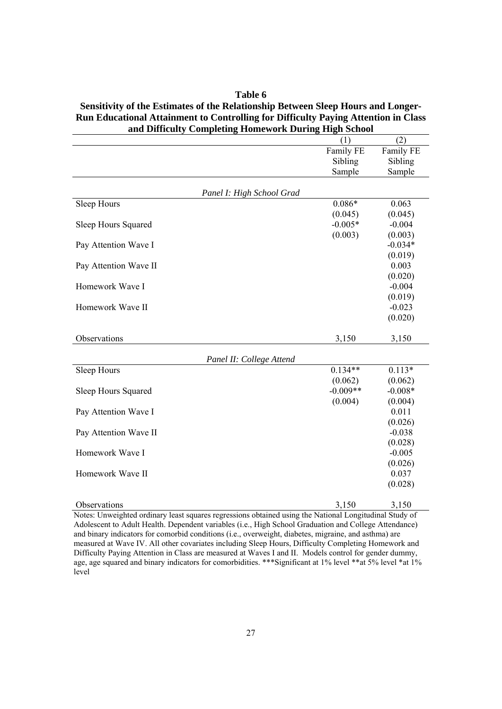| and Difficulty Completing Homework During High School |            |           |
|-------------------------------------------------------|------------|-----------|
|                                                       | (1)        | (2)       |
|                                                       | Family FE  | Family FE |
|                                                       | Sibling    | Sibling   |
|                                                       | Sample     | Sample    |
|                                                       |            |           |
| Panel I: High School Grad                             |            |           |
| Sleep Hours                                           | $0.086*$   | 0.063     |
|                                                       | (0.045)    | (0.045)   |
| Sleep Hours Squared                                   | $-0.005*$  | $-0.004$  |
|                                                       | (0.003)    | (0.003)   |
| Pay Attention Wave I                                  |            | $-0.034*$ |
|                                                       |            | (0.019)   |
| Pay Attention Wave II                                 |            | 0.003     |
|                                                       |            | (0.020)   |
| Homework Wave I                                       |            | $-0.004$  |
|                                                       |            | (0.019)   |
| Homework Wave II                                      |            | $-0.023$  |
|                                                       |            | (0.020)   |
|                                                       |            |           |
| Observations                                          | 3,150      | 3,150     |
| Panel II: College Attend                              |            |           |
| Sleep Hours                                           | $0.134**$  | $0.113*$  |
|                                                       | (0.062)    | (0.062)   |
| Sleep Hours Squared                                   | $-0.009**$ | $-0.008*$ |
|                                                       | (0.004)    | (0.004)   |
| Pay Attention Wave I                                  |            | 0.011     |
|                                                       |            | (0.026)   |
| Pay Attention Wave II                                 |            | $-0.038$  |
|                                                       |            | (0.028)   |
| Homework Wave I                                       |            | $-0.005$  |
|                                                       |            | (0.026)   |
| Homework Wave II                                      |            | 0.037     |
|                                                       |            | (0.028)   |
| Observations                                          | 3,150      | 3,150     |

#### **Sensitivity of the Estimates of the Relationship Between Sleep Hours and Longer-Run Educational Attainment to Controlling for Difficulty Paying Attention in Class and Difficulty Completing Homework During High School**

**Table 6** 

Notes: Unweighted ordinary least squares regressions obtained using the National Longitudinal Study of Adolescent to Adult Health. Dependent variables (i.e., High School Graduation and College Attendance) and binary indicators for comorbid conditions (i.e., overweight, diabetes, migraine, and asthma) are measured at Wave IV. All other covariates including Sleep Hours, Difficulty Completing Homework and Difficulty Paying Attention in Class are measured at Waves I and II. Models control for gender dummy, age, age squared and binary indicators for comorbidities. \*\*\* Significant at 1% level \*\* at 5% level \*at 1% level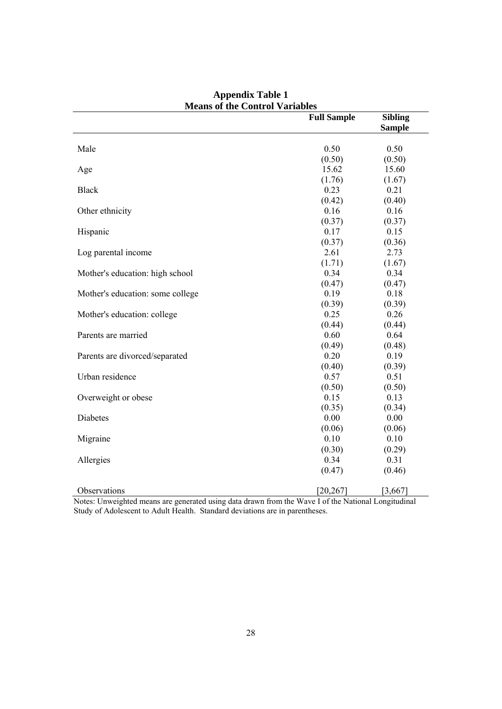|                                  | <b>Full Sample</b> | <b>Sibling</b><br><b>Sample</b> |
|----------------------------------|--------------------|---------------------------------|
|                                  |                    |                                 |
| Male                             | 0.50               | 0.50                            |
|                                  | (0.50)             | (0.50)                          |
| Age                              | 15.62              | 15.60                           |
|                                  | (1.76)             | (1.67)                          |
| <b>Black</b>                     | 0.23               | 0.21                            |
|                                  | (0.42)             | (0.40)                          |
| Other ethnicity                  | 0.16               | 0.16                            |
|                                  | (0.37)             | (0.37)                          |
| Hispanic                         | 0.17               | 0.15                            |
|                                  | (0.37)             | (0.36)                          |
| Log parental income              | 2.61               | 2.73                            |
|                                  | (1.71)             | (1.67)                          |
| Mother's education: high school  | 0.34               | 0.34                            |
|                                  | (0.47)             | (0.47)                          |
| Mother's education: some college | 0.19               | 0.18                            |
|                                  | (0.39)             | (0.39)                          |
| Mother's education: college      | 0.25               | 0.26                            |
|                                  | (0.44)             | (0.44)                          |
| Parents are married              | 0.60               | 0.64                            |
|                                  | (0.49)             | (0.48)                          |
| Parents are divorced/separated   | 0.20               | 0.19                            |
|                                  | (0.40)             | (0.39)                          |
| Urban residence                  | 0.57               | 0.51                            |
|                                  | (0.50)             | (0.50)                          |
| Overweight or obese              | 0.15               | 0.13                            |
|                                  | (0.35)             | (0.34)                          |
| Diabetes                         | 0.00               | 0.00                            |
|                                  | (0.06)             | (0.06)                          |
| Migraine                         | 0.10               | 0.10                            |
|                                  | (0.30)             | (0.29)                          |
| Allergies                        | 0.34               | 0.31                            |
|                                  | (0.47)             | (0.46)                          |
| Observations                     | [20, 267]          | [3,667]                         |

**Appendix Table 1 Means of the Control Variables** 

Notes: Unweighted means are generated using data drawn from the Wave I of the National Longitudinal Study of Adolescent to Adult Health. Standard deviations are in parentheses.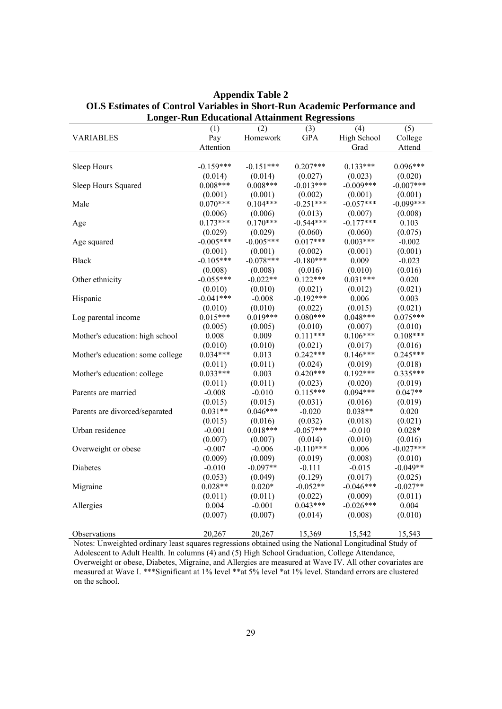| Longer-Kun Educational Attainment Regressions |             |             |             |             |             |  |
|-----------------------------------------------|-------------|-------------|-------------|-------------|-------------|--|
|                                               | (1)         | (2)         | (3)         | (4)         | (5)         |  |
| <b>VARIABLES</b>                              | Pay         | Homework    | <b>GPA</b>  | High School | College     |  |
|                                               | Attention   |             |             | Grad        | Attend      |  |
|                                               |             |             |             |             |             |  |
| Sleep Hours                                   | $-0.159***$ | $-0.151***$ | $0.207***$  | $0.133***$  | $0.096***$  |  |
|                                               | (0.014)     | (0.014)     | (0.027)     | (0.023)     | (0.020)     |  |
| Sleep Hours Squared                           | $0.008***$  | $0.008***$  | $-0.013***$ | $-0.009***$ | $-0.007***$ |  |
|                                               | (0.001)     | (0.001)     | (0.002)     | (0.001)     | (0.001)     |  |
| Male                                          | $0.070***$  | $0.104***$  | $-0.251***$ | $-0.057***$ | $-0.099***$ |  |
|                                               | (0.006)     | (0.006)     | (0.013)     | (0.007)     | (0.008)     |  |
| Age                                           | $0.173***$  | $0.170***$  | $-0.544***$ | $-0.177***$ | 0.103       |  |
|                                               | (0.029)     | (0.029)     | (0.060)     | (0.060)     | (0.075)     |  |
| Age squared                                   | $-0.005***$ | $-0.005***$ | $0.017***$  | $0.003***$  | $-0.002$    |  |
|                                               | (0.001)     | (0.001)     | (0.002)     | (0.001)     | (0.001)     |  |
| <b>Black</b>                                  | $-0.105***$ | $-0.078***$ | $-0.180***$ | 0.009       | $-0.023$    |  |
|                                               | (0.008)     | (0.008)     | (0.016)     | (0.010)     | (0.016)     |  |
| Other ethnicity                               | $-0.055***$ | $-0.022**$  | $0.122***$  | $0.031***$  | 0.020       |  |
|                                               | (0.010)     | (0.010)     | (0.021)     | (0.012)     | (0.021)     |  |
| Hispanic                                      | $-0.041***$ | $-0.008$    | $-0.192***$ | 0.006       | 0.003       |  |
|                                               | (0.010)     | (0.010)     | (0.022)     | (0.015)     | (0.021)     |  |
| Log parental income                           | $0.015***$  | $0.019***$  | $0.080***$  | $0.048***$  | $0.075***$  |  |
|                                               | (0.005)     | (0.005)     | (0.010)     | (0.007)     | (0.010)     |  |
| Mother's education: high school               | 0.008       | 0.009       | $0.111***$  | $0.106***$  | $0.108***$  |  |
|                                               | (0.010)     | (0.010)     | (0.021)     | (0.017)     | (0.016)     |  |
| Mother's education: some college              | $0.034***$  | 0.013       | $0.242***$  | $0.146***$  | $0.245***$  |  |
|                                               | (0.011)     | (0.011)     | (0.024)     | (0.019)     | (0.018)     |  |
| Mother's education: college                   | $0.033***$  | 0.003       | $0.420***$  | $0.192***$  | $0.335***$  |  |
|                                               | (0.011)     | (0.011)     | (0.023)     | (0.020)     | (0.019)     |  |
| Parents are married                           | $-0.008$    | $-0.010$    | $0.115***$  | $0.094***$  | $0.047**$   |  |
|                                               | (0.015)     | (0.015)     | (0.031)     | (0.016)     | (0.019)     |  |
| Parents are divorced/separated                | $0.031**$   | $0.046***$  | $-0.020$    | $0.038**$   | 0.020       |  |
|                                               | (0.015)     | (0.016)     | (0.032)     | (0.018)     | (0.021)     |  |
| Urban residence                               | $-0.001$    | $0.018***$  | $-0.057***$ | $-0.010$    | $0.028*$    |  |
|                                               | (0.007)     | (0.007)     | (0.014)     | (0.010)     | (0.016)     |  |
| Overweight or obese                           | $-0.007$    | $-0.006$    | $-0.110***$ | 0.006       | $-0.027***$ |  |
|                                               | (0.009)     | (0.009)     | (0.019)     | (0.008)     | (0.010)     |  |
| Diabetes                                      | $-0.010$    | $-0.097**$  | $-0.111$    | $-0.015$    | $-0.049**$  |  |
|                                               | (0.053)     | (0.049)     | (0.129)     | (0.017)     | (0.025)     |  |
| Migraine                                      | $0.028**$   | $0.020*$    | $-0.052**$  | $-0.046***$ | $-0.027**$  |  |
|                                               | (0.011)     | (0.011)     | (0.022)     | (0.009)     | (0.011)     |  |
| Allergies                                     | 0.004       | $-0.001$    | $0.043***$  | $-0.026***$ | 0.004       |  |
|                                               | (0.007)     | (0.007)     | (0.014)     | (0.008)     | (0.010)     |  |
|                                               |             |             |             |             |             |  |
| Observations                                  | 20,267      | 20,267      | 15,369      | 15,542      | 15,543      |  |

**Appendix Table 2 OLS Estimates of Control Variables in Short-Run Academic Performance and Longer-Run Educational Attainment Regressions** 

Notes: Unweighted ordinary least squares regressions obtained using the National Longitudinal Study of Adolescent to Adult Health. In columns (4) and (5) High School Graduation, College Attendance, Overweight or obese, Diabetes, Migraine, and Allergies are measured at Wave IV. All other covariates are measured at Wave I. \*\*\*Significant at 1% level \*\*at 5% level \*at 1% level. Standard errors are clustered on the school.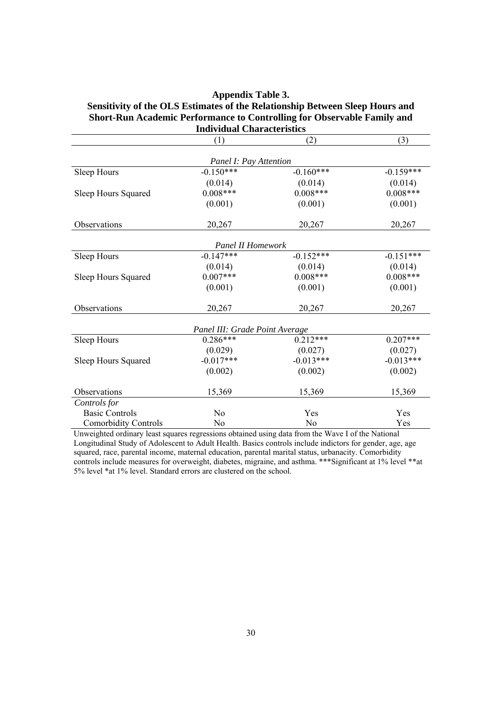#### **Appendix Table 3. Sensitivity of the OLS Estimates of the Relationship Between Sleep Hours and Short-Run Academic Performance to Controlling for Observable Family and Individual Characteristics**

|                             | (1)                            | (2)            | (3)         |
|-----------------------------|--------------------------------|----------------|-------------|
|                             | Panel I: Pay Attention         |                |             |
| Sleep Hours                 | $-0.150***$                    | $-0.160***$    | $-0.159***$ |
|                             | (0.014)                        | (0.014)        | (0.014)     |
| Sleep Hours Squared         | $0.008***$                     | $0.008***$     | $0.008***$  |
|                             | (0.001)                        | (0.001)        | (0.001)     |
| Observations                | 20,267                         | 20,267         | 20,267      |
|                             | <b>Panel II Homework</b>       |                |             |
| Sleep Hours                 | $-0.147***$                    | $-0.152***$    | $-0.151***$ |
|                             | (0.014)                        | (0.014)        | (0.014)     |
| Sleep Hours Squared         | $0.007***$                     | $0.008***$     | $0.008***$  |
|                             | (0.001)                        | (0.001)        | (0.001)     |
| Observations                | 20,267                         | 20,267         | 20,267      |
|                             | Panel III: Grade Point Average |                |             |
| Sleep Hours                 | $0.286***$                     | $0.212***$     | $0.207***$  |
|                             | (0.029)                        | (0.027)        | (0.027)     |
| Sleep Hours Squared         | $-0.017***$                    | $-0.013***$    | $-0.013***$ |
|                             | (0.002)                        | (0.002)        | (0.002)     |
| Observations                | 15,369                         | 15,369         | 15,369      |
| Controls for                |                                |                |             |
| <b>Basic Controls</b>       | No                             | Yes            | Yes         |
| <b>Comorbidity Controls</b> | No                             | N <sub>o</sub> | Yes         |

Unweighted ordinary least squares regressions obtained using data from the Wave I of the National Longitudinal Study of Adolescent to Adult Health. Basics controls include indictors for gender, age, age squared, race, parental income, maternal education, parental marital status, urbanacity. Comorbidity controls include measures for overweight, diabetes, migraine, and asthma. \*\*\*Significant at 1% level \*\*at 5% level \*at 1% level. Standard errors are clustered on the school.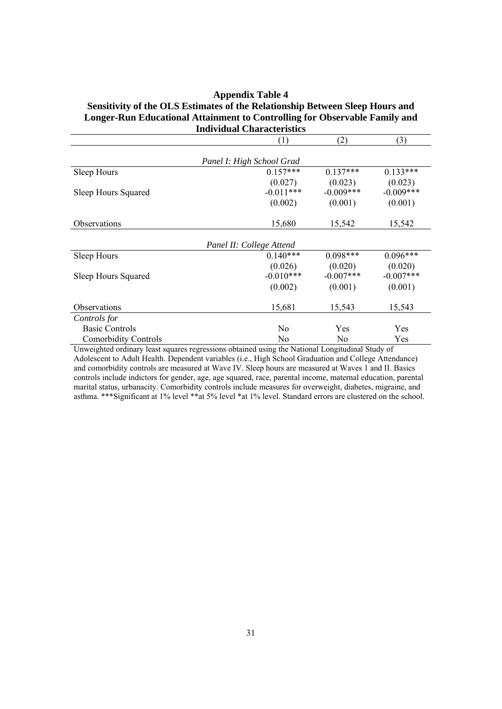#### **Appendix Table 4**

#### **Sensitivity of the OLS Estimates of the Relationship Between Sleep Hours and Longer-Run Educational Attainment to Controlling for Observable Family and Individual Characteristics**

|                             | (1)                      | (2)         | (3)         |  |  |  |  |
|-----------------------------|--------------------------|-------------|-------------|--|--|--|--|
|                             |                          |             |             |  |  |  |  |
| Panel I: High School Grad   |                          |             |             |  |  |  |  |
| Sleep Hours                 | $0.157***$               | $0.137***$  | $0.133***$  |  |  |  |  |
|                             | (0.027)                  | (0.023)     | (0.023)     |  |  |  |  |
| Sleep Hours Squared         | $-0.011***$              | $-0.009***$ | $-0.009***$ |  |  |  |  |
|                             | (0.002)                  | (0.001)     | (0.001)     |  |  |  |  |
| Observations                | 15,680                   | 15,542      | 15,542      |  |  |  |  |
|                             |                          |             |             |  |  |  |  |
|                             | Panel II: College Attend |             |             |  |  |  |  |
| Sleep Hours                 | $0.140***$               | $0.098***$  | $0.096***$  |  |  |  |  |
|                             | (0.026)                  | (0.020)     | (0.020)     |  |  |  |  |
| Sleep Hours Squared         | $-0.010***$              | $-0.007***$ | $-0.007***$ |  |  |  |  |
|                             | (0.002)                  | (0.001)     | (0.001)     |  |  |  |  |
| Observations                | 15,681                   | 15,543      | 15,543      |  |  |  |  |
| Controls for                |                          |             |             |  |  |  |  |
| <b>Basic Controls</b>       | No                       | Yes         | Yes         |  |  |  |  |
| <b>Comorbidity Controls</b> | No                       | No          | Yes         |  |  |  |  |

Unweighted ordinary least squares regressions obtained using the National Longitudinal Study of Adolescent to Adult Health. Dependent variables (i.e., High School Graduation and College Attendance) and comorbidity controls are measured at Wave IV. Sleep hours are measured at Waves 1 and II. Basics controls include indictors for gender, age, age squared, race, parental income, maternal education, parental marital status, urbanacity. Comorbidity controls include measures for overweight, diabetes, migraine, and asthma. \*\*\*Significant at 1% level \*\*at 5% level \*at 1% level. Standard errors are clustered on the school.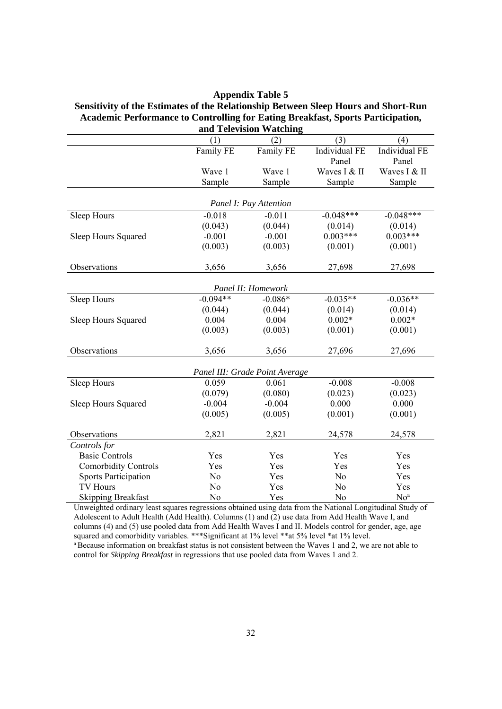| <b>Appendix Table 5</b>                                                            |
|------------------------------------------------------------------------------------|
| Sensitivity of the Estimates of the Relationship Between Sleep Hours and Short-Run |
| Academic Performance to Controlling for Eating Breakfast, Sports Participation,    |
| and Television Watching                                                            |

|                             |                | 100,10101,0001                 |                |                 |  |  |
|-----------------------------|----------------|--------------------------------|----------------|-----------------|--|--|
|                             | (1)            | (2)                            | (3)            | (4)             |  |  |
|                             | Family FE      | Family FE                      | Individual FE  | Individual FE   |  |  |
|                             |                |                                | Panel          | Panel           |  |  |
|                             | Wave 1         | Wave 1                         | Waves I & II   | Waves I & II    |  |  |
|                             | Sample         | Sample                         | Sample         | Sample          |  |  |
|                             |                |                                |                |                 |  |  |
| Panel I: Pay Attention      |                |                                |                |                 |  |  |
| Sleep Hours                 | $-0.018$       | $-0.011$                       | $-0.048***$    | $-0.048***$     |  |  |
|                             | (0.043)        | (0.044)                        | (0.014)        | (0.014)         |  |  |
| Sleep Hours Squared         | $-0.001$       | $-0.001$                       | $0.003***$     | $0.003***$      |  |  |
|                             | (0.003)        | (0.003)                        | (0.001)        | (0.001)         |  |  |
| Observations                | 3,656          | 3,656                          | 27,698         | 27,698          |  |  |
|                             |                |                                |                |                 |  |  |
| Panel II: Homework          |                |                                |                |                 |  |  |
| Sleep Hours                 | $-0.094**$     | $-0.086*$                      | $-0.035**$     | $-0.036**$      |  |  |
|                             | (0.044)        | (0.044)                        | (0.014)        | (0.014)         |  |  |
| Sleep Hours Squared         | 0.004          | 0.004                          | $0.002*$       | $0.002*$        |  |  |
|                             | (0.003)        | (0.003)                        | (0.001)        | (0.001)         |  |  |
| Observations                | 3,656          | 3,656                          | 27,696         | 27,696          |  |  |
|                             |                | Panel III: Grade Point Average |                |                 |  |  |
| Sleep Hours                 | 0.059          | 0.061                          | $-0.008$       | $-0.008$        |  |  |
|                             | (0.079)        | (0.080)                        | (0.023)        | (0.023)         |  |  |
| Sleep Hours Squared         | $-0.004$       | $-0.004$                       | 0.000          | 0.000           |  |  |
|                             | (0.005)        | (0.005)                        | (0.001)        | (0.001)         |  |  |
| Observations                | 2,821          | 2,821                          | 24,578         | 24,578          |  |  |
| Controls for                |                |                                |                |                 |  |  |
| <b>Basic Controls</b>       | Yes            | Yes                            | Yes            | Yes             |  |  |
| <b>Comorbidity Controls</b> | Yes            | Yes                            | Yes            | Yes             |  |  |
| <b>Sports Participation</b> | N <sub>o</sub> | Yes                            | N <sub>o</sub> | Yes             |  |  |
| <b>TV Hours</b>             | No             | Yes                            | N <sub>o</sub> | Yes             |  |  |
| <b>Skipping Breakfast</b>   | No             | Yes                            | No             | No <sup>a</sup> |  |  |

Unweighted ordinary least squares regressions obtained using data from the National Longitudinal Study of Adolescent to Adult Health (Add Health). Columns (1) and (2) use data from Add Health Wave I, and columns (4) and (5) use pooled data from Add Health Waves I and II. Models control for gender, age, age squared and comorbidity variables. \*\*\*Significant at 1% level \*\*at 5% level \*at 1% level. <sup>a</sup> Because information on breakfast status is not consistent between the Waves 1 and 2, we are not able to

control for *Skipping Breakfast* in regressions that use pooled data from Waves 1 and 2.